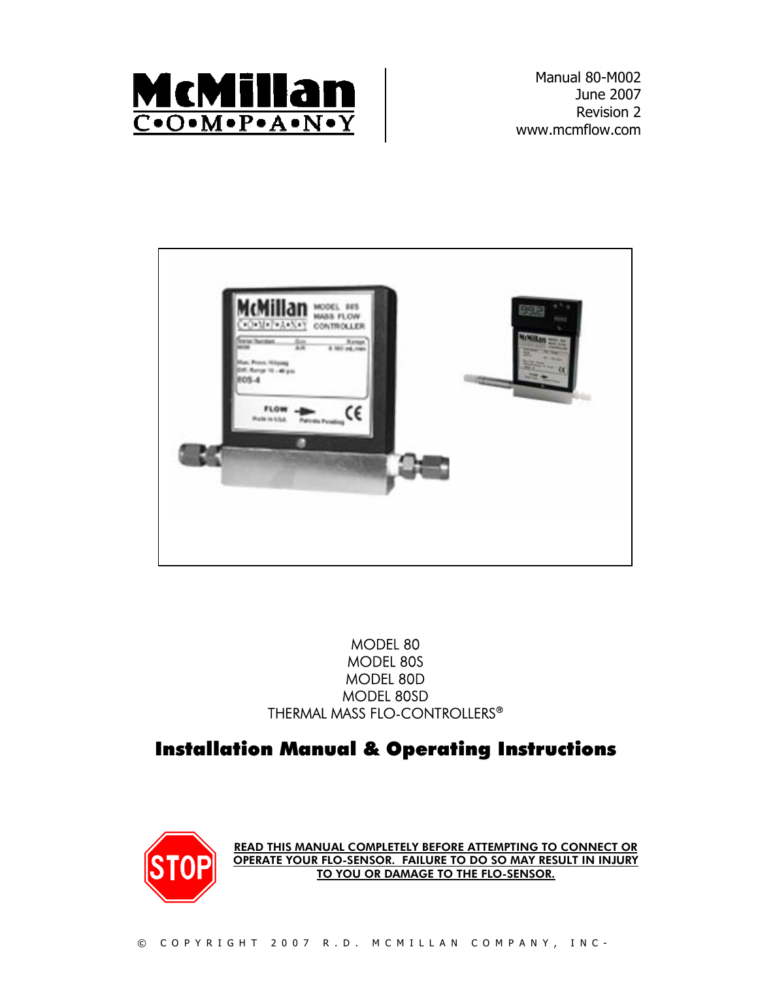

Manual 80-M002 June 2007 Revision 2 www.mcmflow.com



 MODEL 80 MODEL 80S MODEL 80D MODEL 80SD THERMAL MASS FLO-CONTROLLERS®

### Installation Manual & Operating Instructions



READ THIS MANUAL COMPLETELY BEFORE ATTEMPTING TO CONNECT OR OPERATE YOUR FLO-SENSOR. FAILURE TO DO SO MAY RESULT IN INJURY TO YOU OR DAMAGE TO THE FLO-SENSOR.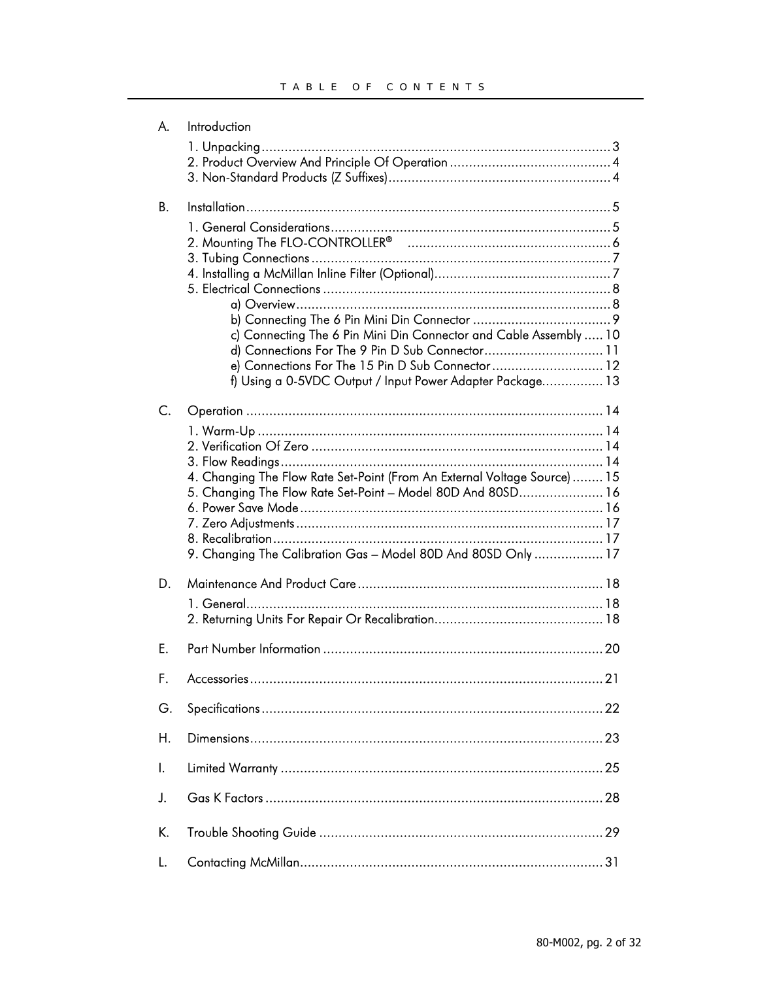| А.        | Introduction                                                                                                                                                                                                                          |    |
|-----------|---------------------------------------------------------------------------------------------------------------------------------------------------------------------------------------------------------------------------------------|----|
|           |                                                                                                                                                                                                                                       |    |
| <b>B.</b> |                                                                                                                                                                                                                                       |    |
|           | c) Connecting The 6 Pin Mini Din Connector and Cable Assembly  10<br>d) Connections For The 9 Pin D Sub Connector 11<br>e) Connections For The 15 Pin D Sub Connector 12<br>f) Using a 0-5VDC Output / Input Power Adapter Package 13 |    |
| C.        | 4. Changing The Flow Rate Set-Point (From An External Voltage Source) 15<br>5. Changing The Flow Rate Set-Point - Model 80D And 80SD 16<br>9. Changing The Calibration Gas - Model 80D And 80SD Only  17                              |    |
| D.        |                                                                                                                                                                                                                                       |    |
| E.        |                                                                                                                                                                                                                                       | 20 |
| F.        |                                                                                                                                                                                                                                       |    |
| G.        |                                                                                                                                                                                                                                       |    |
| Η.        |                                                                                                                                                                                                                                       |    |
| Ι.        |                                                                                                                                                                                                                                       |    |
| J.        |                                                                                                                                                                                                                                       |    |
| K.        |                                                                                                                                                                                                                                       |    |
| L.        |                                                                                                                                                                                                                                       |    |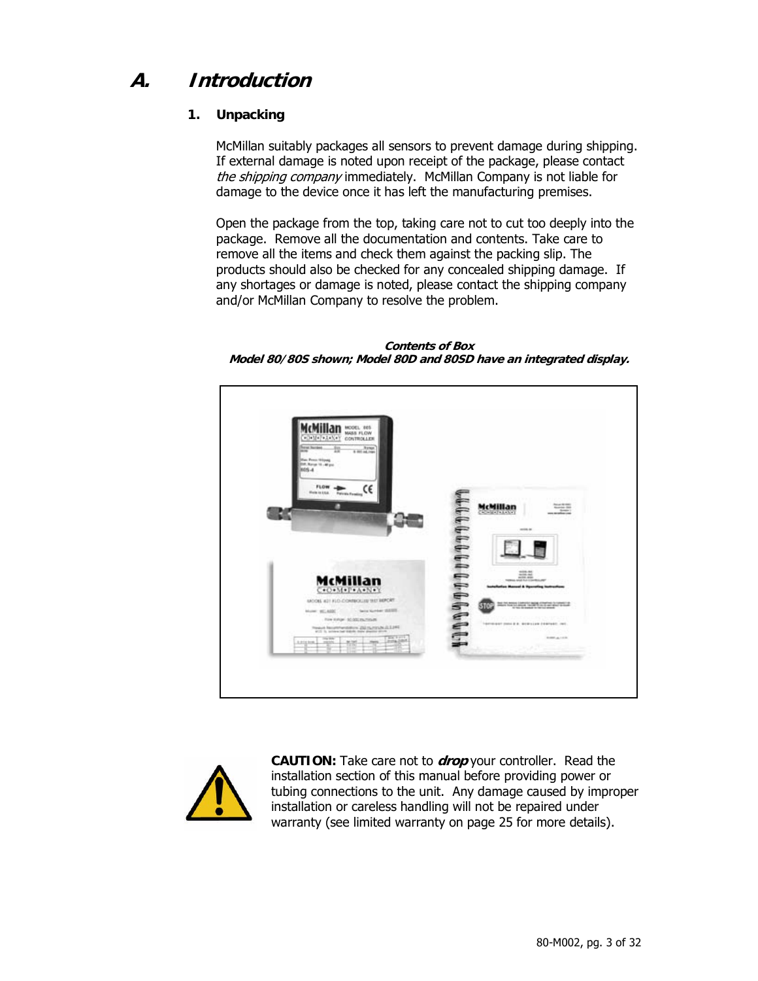### **A. Introduction**

### **1. Unpacking**

McMillan suitably packages all sensors to prevent damage during shipping. If external damage is noted upon receipt of the package, please contact the shipping company immediately. McMillan Company is not liable for damage to the device once it has left the manufacturing premises.

Open the package from the top, taking care not to cut too deeply into the package. Remove all the documentation and contents. Take care to remove all the items and check them against the packing slip. The products should also be checked for any concealed shipping damage. If any shortages or damage is noted, please contact the shipping company and/or McMillan Company to resolve the problem.

**Contents of Box Model 80/80S shown; Model 80D and 80SD have an integrated display.** 





**CAUTION:** Take care not to **drop** your controller. Read the installation section of this manual before providing power or tubing connections to the unit. Any damage caused by improper installation or careless handling will not be repaired under warranty (see limited warranty on page 25 for more details).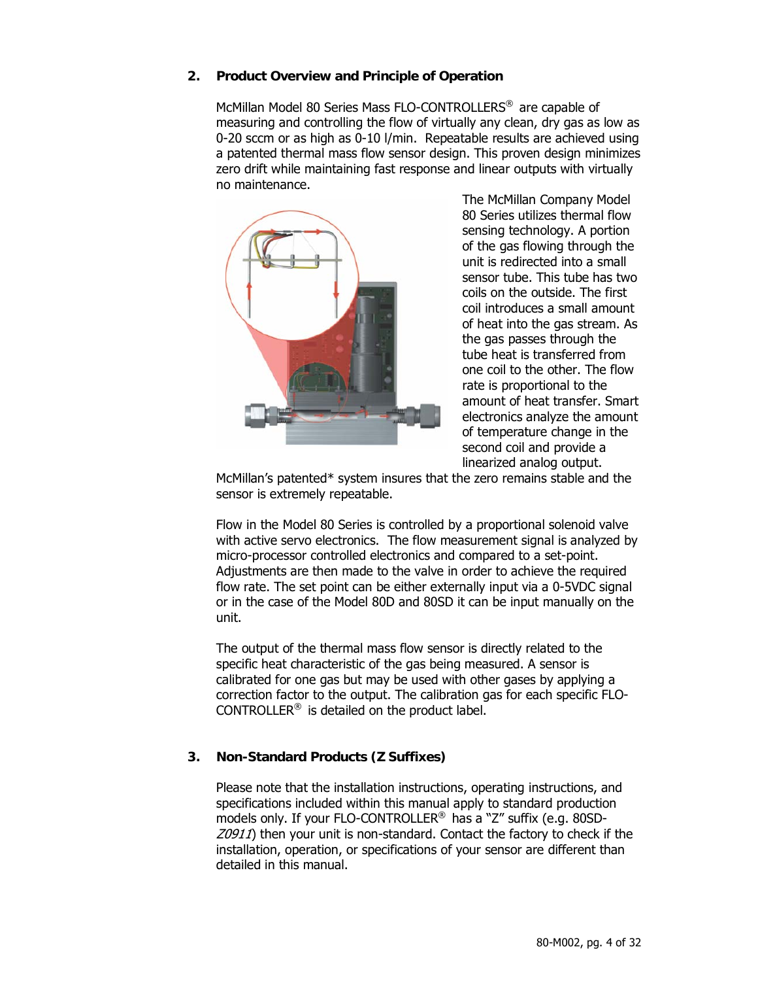#### **2. Product Overview and Principle of Operation**

McMillan Model 80 Series Mass FLO-CONTROLLERS® are capable of measuring and controlling the flow of virtually any clean, dry gas as low as 0-20 sccm or as high as 0-10 l/min. Repeatable results are achieved using a patented thermal mass flow sensor design. This proven design minimizes zero drift while maintaining fast response and linear outputs with virtually no maintenance.



The McMillan Company Model 80 Series utilizes thermal flow sensing technology. A portion of the gas flowing through the unit is redirected into a small sensor tube. This tube has two coils on the outside. The first coil introduces a small amount of heat into the gas stream. As the gas passes through the tube heat is transferred from one coil to the other. The flow rate is proportional to the amount of heat transfer. Smart electronics analyze the amount of temperature change in the second coil and provide a linearized analog output.

McMillan's patented\* system insures that the zero remains stable and the sensor is extremely repeatable.

Flow in the Model 80 Series is controlled by a proportional solenoid valve with active servo electronics. The flow measurement signal is analyzed by micro-processor controlled electronics and compared to a set-point. Adjustments are then made to the valve in order to achieve the required flow rate. The set point can be either externally input via a 0-5VDC signal or in the case of the Model 80D and 80SD it can be input manually on the unit.

The output of the thermal mass flow sensor is directly related to the specific heat characteristic of the gas being measured. A sensor is calibrated for one gas but may be used with other gases by applying a correction factor to the output. The calibration gas for each specific FLO-CONTROLLER® is detailed on the product label.

#### **3. Non-Standard Products (Z Suffixes)**

Please note that the installation instructions, operating instructions, and specifications included within this manual apply to standard production models only. If your FLO-CONTROLLER® has a "Z" suffix (e.g. 80SD-Z0911) then your unit is non-standard. Contact the factory to check if the installation, operation, or specifications of your sensor are different than detailed in this manual.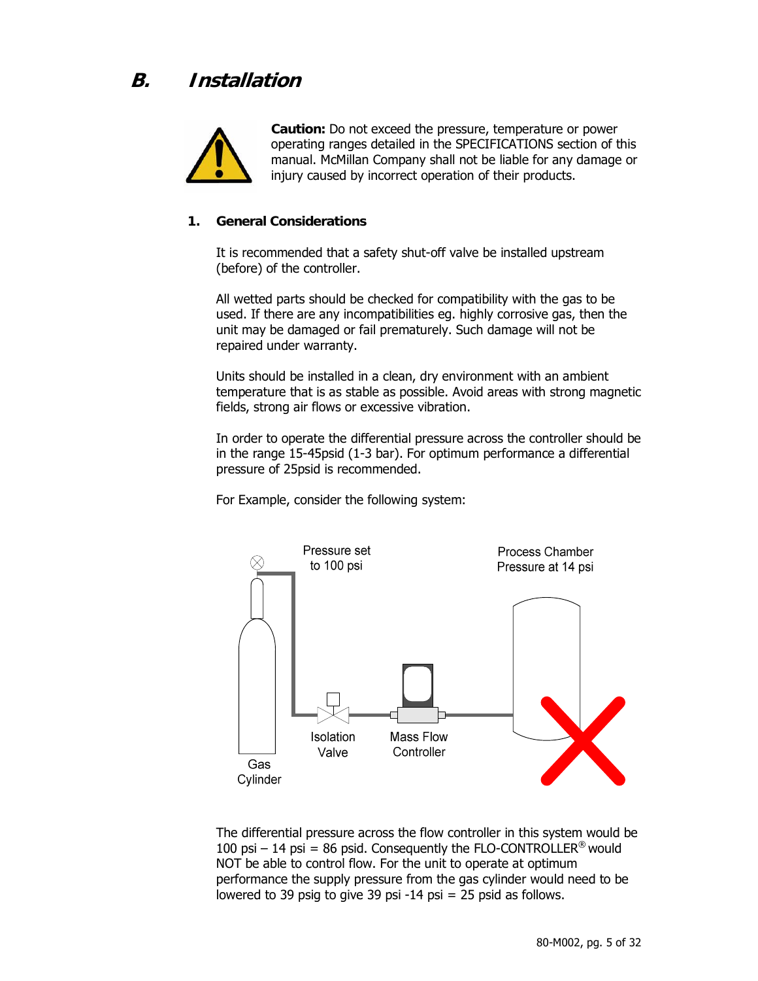

**Caution:** Do not exceed the pressure, temperature or power operating ranges detailed in the SPECIFICATIONS section of this manual. McMillan Company shall not be liable for any damage or injury caused by incorrect operation of their products.

#### **1. General Considerations**

It is recommended that a safety shut-off valve be installed upstream (before) of the controller.

All wetted parts should be checked for compatibility with the gas to be used. If there are any incompatibilities eg. highly corrosive gas, then the unit may be damaged or fail prematurely. Such damage will not be repaired under warranty.

Units should be installed in a clean, dry environment with an ambient temperature that is as stable as possible. Avoid areas with strong magnetic fields, strong air flows or excessive vibration.

In order to operate the differential pressure across the controller should be in the range 15-45psid (1-3 bar). For optimum performance a differential pressure of 25psid is recommended.

For Example, consider the following system:



The differential pressure across the flow controller in this system would be 100 psi – 14 psi = 86 psid. Consequently the FLO-CONTROLLER<sup>®</sup> would NOT be able to control flow. For the unit to operate at optimum performance the supply pressure from the gas cylinder would need to be lowered to 39 psig to give 39 psi -14 psi = 25 psid as follows.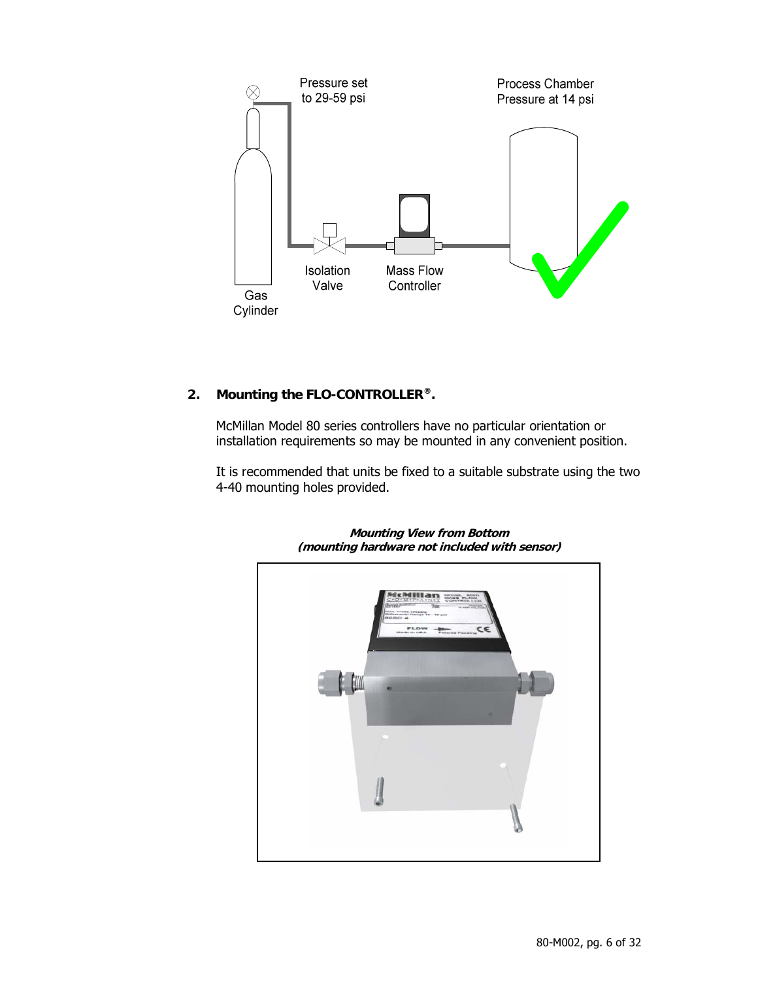

### **2. Mounting the FLO-CONTROLLER®.**

McMillan Model 80 series controllers have no particular orientation or installation requirements so may be mounted in any convenient position.

It is recommended that units be fixed to a suitable substrate using the two 4-40 mounting holes provided.



**Mounting View from Bottom (mounting hardware not included with sensor)**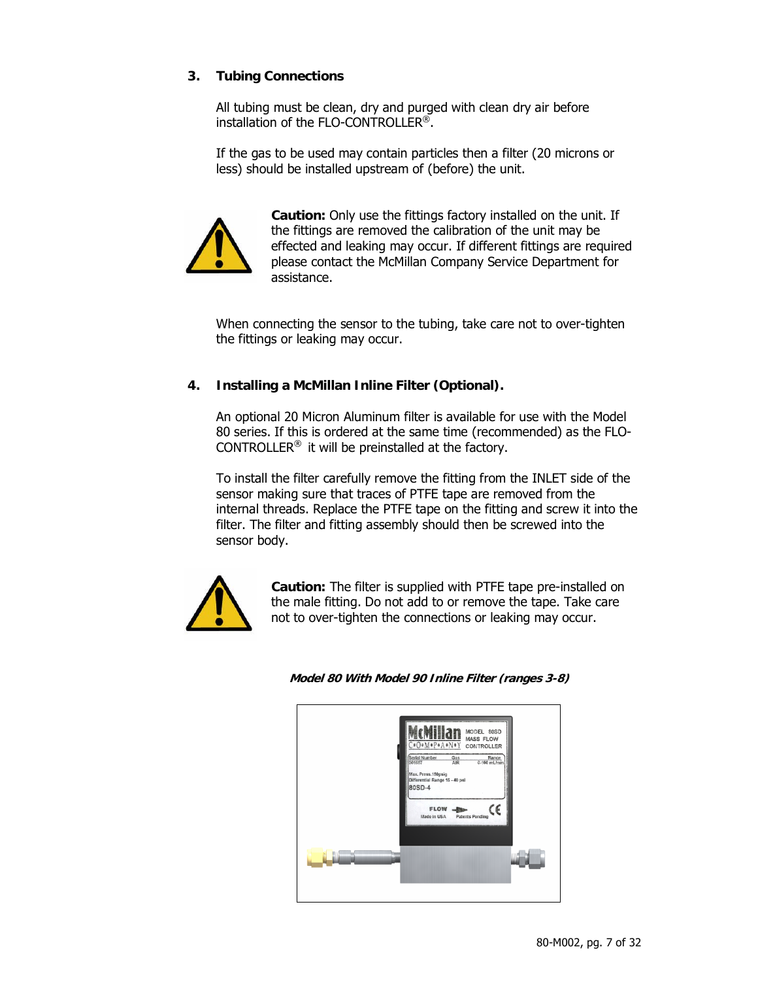#### **3. Tubing Connections**

All tubing must be clean, dry and purged with clean dry air before installation of the FLO-CONTROLLER®.

If the gas to be used may contain particles then a filter (20 microns or less) should be installed upstream of (before) the unit.



**Caution:** Only use the fittings factory installed on the unit. If the fittings are removed the calibration of the unit may be effected and leaking may occur. If different fittings are required please contact the McMillan Company Service Department for assistance.

When connecting the sensor to the tubing, take care not to over-tighten the fittings or leaking may occur.

#### **4. Installing a McMillan Inline Filter (Optional).**

An optional 20 Micron Aluminum filter is available for use with the Model 80 series. If this is ordered at the same time (recommended) as the FLO-CONTROLLER® it will be preinstalled at the factory.

To install the filter carefully remove the fitting from the INLET side of the sensor making sure that traces of PTFE tape are removed from the internal threads. Replace the PTFE tape on the fitting and screw it into the filter. The filter and fitting assembly should then be screwed into the sensor body.



**Caution:** The filter is supplied with PTFE tape pre-installed on the male fitting. Do not add to or remove the tape. Take care not to over-tighten the connections or leaking may occur.

#### **Model 80 With Model 90 Inline Filter (ranges 3-8)**

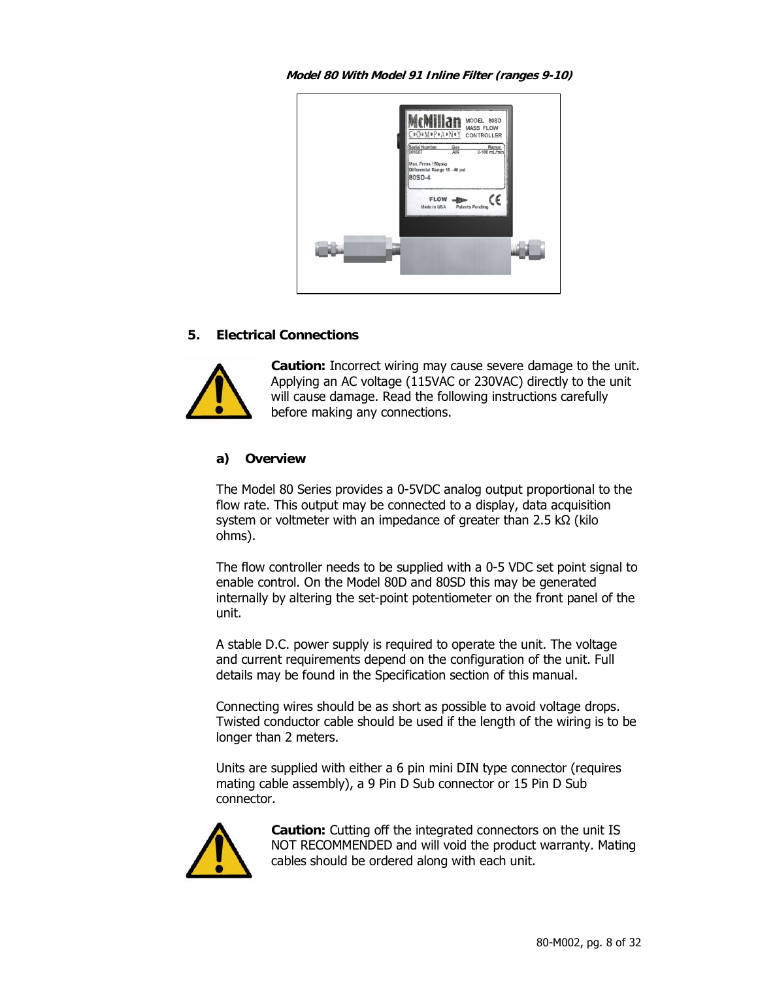**Model 80 With Model 91 Inline Filter (ranges 9-10)** 



#### **5. Electrical Connections**



**Caution:** Incorrect wiring may cause severe damage to the unit. Applying an AC voltage (115VAC or 230VAC) directly to the unit will cause damage. Read the following instructions carefully before making any connections.

#### **a) Overview**

The Model 80 Series provides a 0-5VDC analog output proportional to the flow rate. This output may be connected to a display, data acquisition system or voltmeter with an impedance of greater than 2.5 kΩ (kilo ohms).

The flow controller needs to be supplied with a 0-5 VDC set point signal to enable control. On the Model 80D and 80SD this may be generated internally by altering the set-point potentiometer on the front panel of the unit.

A stable D.C. power supply is required to operate the unit. The voltage and current requirements depend on the configuration of the unit. Full details may be found in the Specification section of this manual.

Connecting wires should be as short as possible to avoid voltage drops. Twisted conductor cable should be used if the length of the wiring is to be longer than 2 meters.

Units are supplied with either a 6 pin mini DIN type connector (requires mating cable assembly), a 9 Pin D Sub connector or 15 Pin D Sub connector.



**Caution:** Cutting off the integrated connectors on the unit IS NOT RECOMMENDED and will void the product warranty. Mating cables should be ordered along with each unit.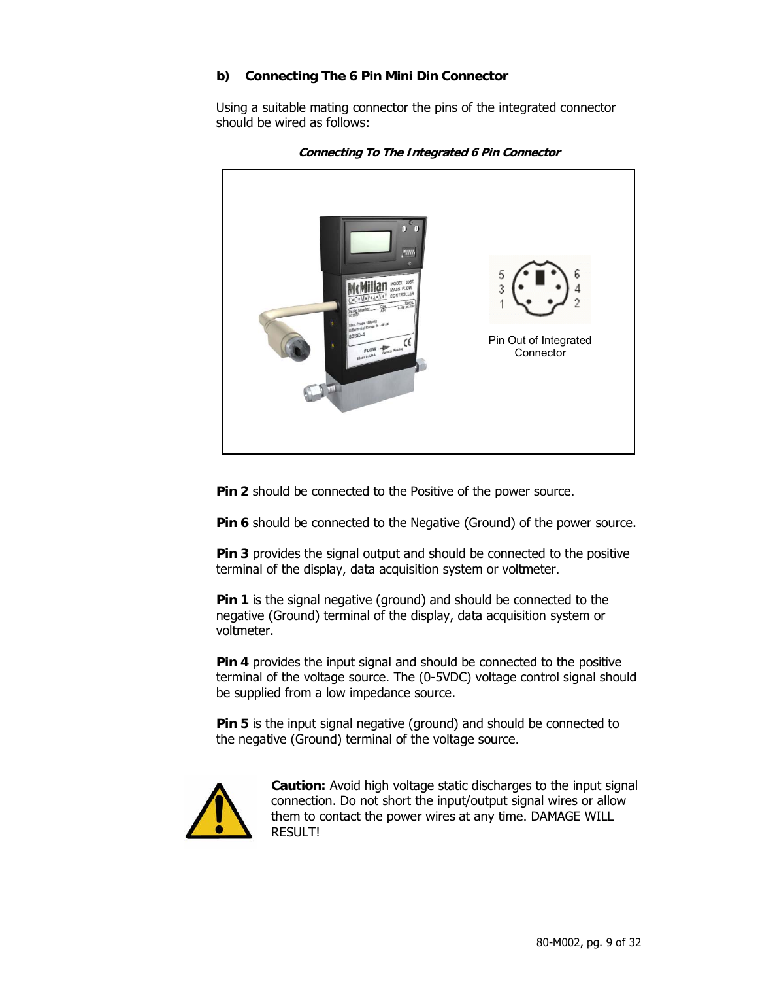#### **b) Connecting The 6 Pin Mini Din Connector**

Using a suitable mating connector the pins of the integrated connector should be wired as follows:



**Connecting To The Integrated 6 Pin Connector** 

**Pin 2** should be connected to the Positive of the power source.

**Pin 6** should be connected to the Negative (Ground) of the power source.

**Pin 3** provides the signal output and should be connected to the positive terminal of the display, data acquisition system or voltmeter.

**Pin 1** is the signal negative (ground) and should be connected to the negative (Ground) terminal of the display, data acquisition system or voltmeter.

**Pin 4** provides the input signal and should be connected to the positive terminal of the voltage source. The (0-5VDC) voltage control signal should be supplied from a low impedance source.

**Pin 5** is the input signal negative (ground) and should be connected to the negative (Ground) terminal of the voltage source.



**Caution:** Avoid high voltage static discharges to the input signal connection. Do not short the input/output signal wires or allow them to contact the power wires at any time. DAMAGE WILL RESULT!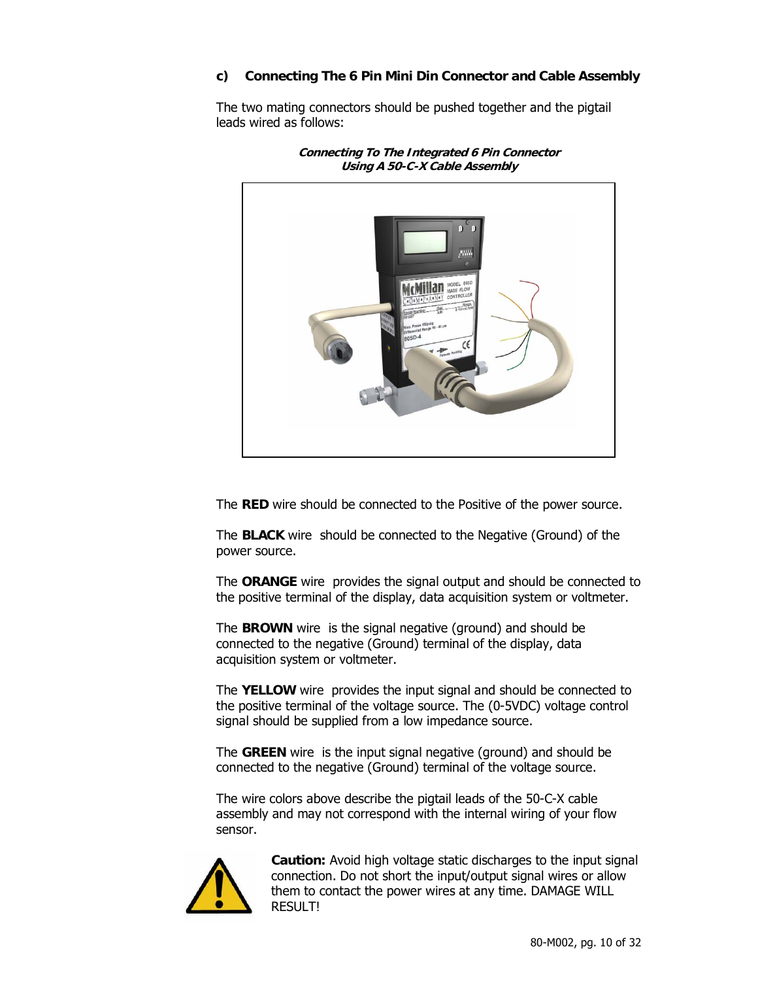#### **c) Connecting The 6 Pin Mini Din Connector and Cable Assembly**

The two mating connectors should be pushed together and the pigtail leads wired as follows:



**Connecting To The Integrated 6 Pin Connector Using A 50-C-X Cable Assembly** 

The **RED** wire should be connected to the Positive of the power source.

The **BLACK** wire should be connected to the Negative (Ground) of the power source.

The **ORANGE** wire provides the signal output and should be connected to the positive terminal of the display, data acquisition system or voltmeter.

The **BROWN** wire is the signal negative (ground) and should be connected to the negative (Ground) terminal of the display, data acquisition system or voltmeter.

The **YELLOW** wire provides the input signal and should be connected to the positive terminal of the voltage source. The (0-5VDC) voltage control signal should be supplied from a low impedance source.

The **GREEN** wire is the input signal negative (ground) and should be connected to the negative (Ground) terminal of the voltage source.

The wire colors above describe the pigtail leads of the 50-C-X cable assembly and may not correspond with the internal wiring of your flow sensor.



**Caution:** Avoid high voltage static discharges to the input signal connection. Do not short the input/output signal wires or allow them to contact the power wires at any time. DAMAGE WILL RESULT!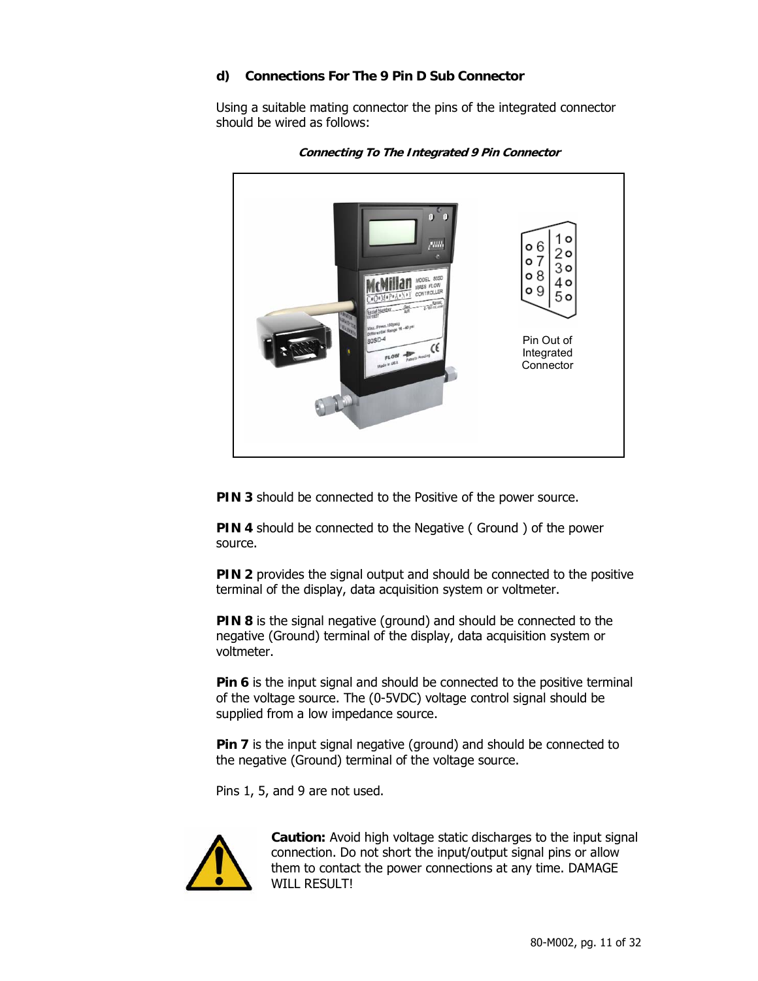#### **d) Connections For The 9 Pin D Sub Connector**

Using a suitable mating connector the pins of the integrated connector should be wired as follows:



**Connecting To The Integrated 9 Pin Connector** 

**PIN 3** should be connected to the Positive of the power source.

**PIN 4** should be connected to the Negative (Ground ) of the power source.

**PIN 2** provides the signal output and should be connected to the positive terminal of the display, data acquisition system or voltmeter.

**PIN 8** is the signal negative (ground) and should be connected to the negative (Ground) terminal of the display, data acquisition system or voltmeter.

**Pin 6** is the input signal and should be connected to the positive terminal of the voltage source. The (0-5VDC) voltage control signal should be supplied from a low impedance source.

**Pin 7** is the input signal negative (ground) and should be connected to the negative (Ground) terminal of the voltage source.

Pins 1, 5, and 9 are not used.



**Caution:** Avoid high voltage static discharges to the input signal connection. Do not short the input/output signal pins or allow them to contact the power connections at any time. DAMAGE WILL RESULT!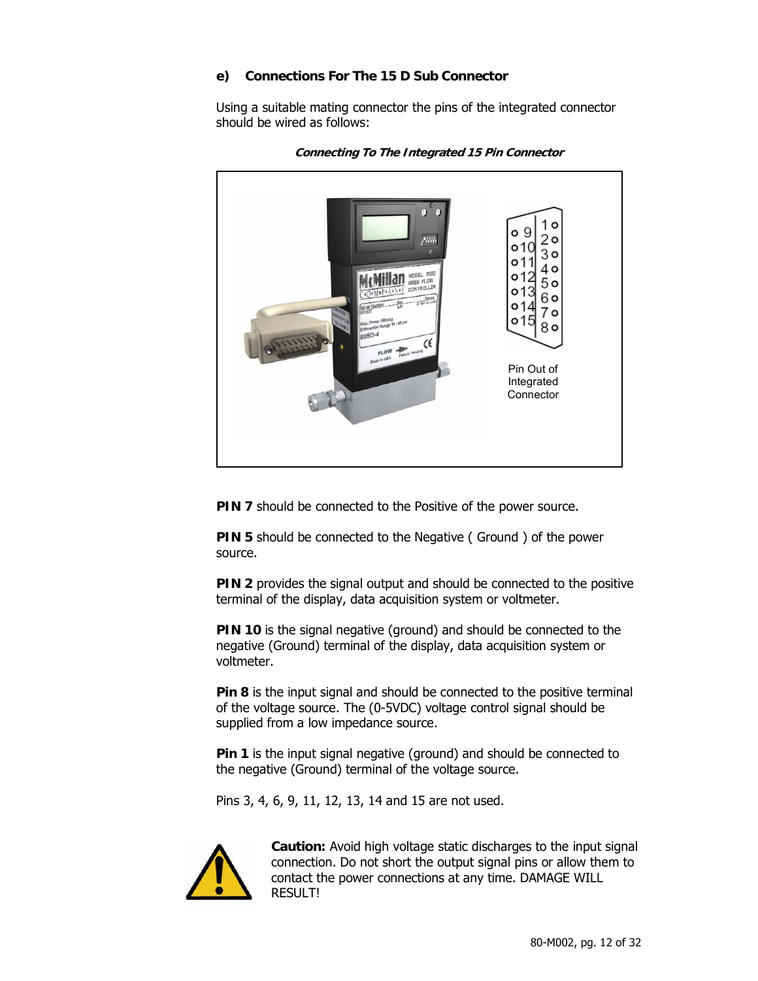#### **e) Connections For The 15 D Sub Connector**

Using a suitable mating connector the pins of the integrated connector should be wired as follows:





**PIN 7** should be connected to the Positive of the power source.

**PIN 5** should be connected to the Negative (Ground ) of the power source.

**PIN 2** provides the signal output and should be connected to the positive terminal of the display, data acquisition system or voltmeter.

**PIN 10** is the signal negative (ground) and should be connected to the negative (Ground) terminal of the display, data acquisition system or voltmeter.

**Pin 8** is the input signal and should be connected to the positive terminal of the voltage source. The (0-5VDC) voltage control signal should be supplied from a low impedance source.

**Pin 1** is the input signal negative (ground) and should be connected to the negative (Ground) terminal of the voltage source.

Pins 3, 4, 6, 9, 11, 12, 13, 14 and 15 are not used.



**Caution:** Avoid high voltage static discharges to the input signal connection. Do not short the output signal pins or allow them to contact the power connections at any time. DAMAGE WILL RESULT!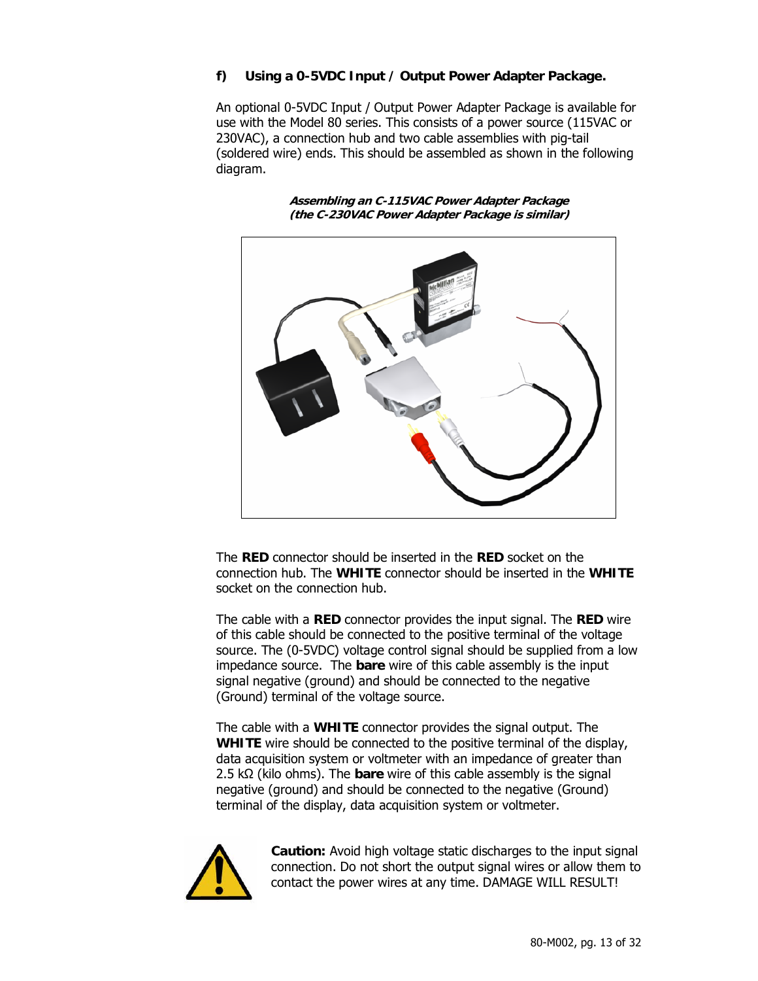#### **f) Using a 0-5VDC Input / Output Power Adapter Package.**

An optional 0-5VDC Input / Output Power Adapter Package is available for use with the Model 80 series. This consists of a power source (115VAC or 230VAC), a connection hub and two cable assemblies with pig-tail (soldered wire) ends. This should be assembled as shown in the following diagram.

> **Assembling an C-115VAC Power Adapter Package (the C-230VAC Power Adapter Package is similar)**



The **RED** connector should be inserted in the **RED** socket on the connection hub. The **WHITE** connector should be inserted in the **WHITE** socket on the connection hub.

The cable with a **RED** connector provides the input signal. The **RED** wire of this cable should be connected to the positive terminal of the voltage source. The (0-5VDC) voltage control signal should be supplied from a low impedance source. The **bare** wire of this cable assembly is the input signal negative (ground) and should be connected to the negative (Ground) terminal of the voltage source.

The cable with a **WHITE** connector provides the signal output. The **WHITE** wire should be connected to the positive terminal of the display, data acquisition system or voltmeter with an impedance of greater than 2.5 kΩ (kilo ohms). The **bare** wire of this cable assembly is the signal negative (ground) and should be connected to the negative (Ground) terminal of the display, data acquisition system or voltmeter.



**Caution:** Avoid high voltage static discharges to the input signal connection. Do not short the output signal wires or allow them to contact the power wires at any time. DAMAGE WILL RESULT!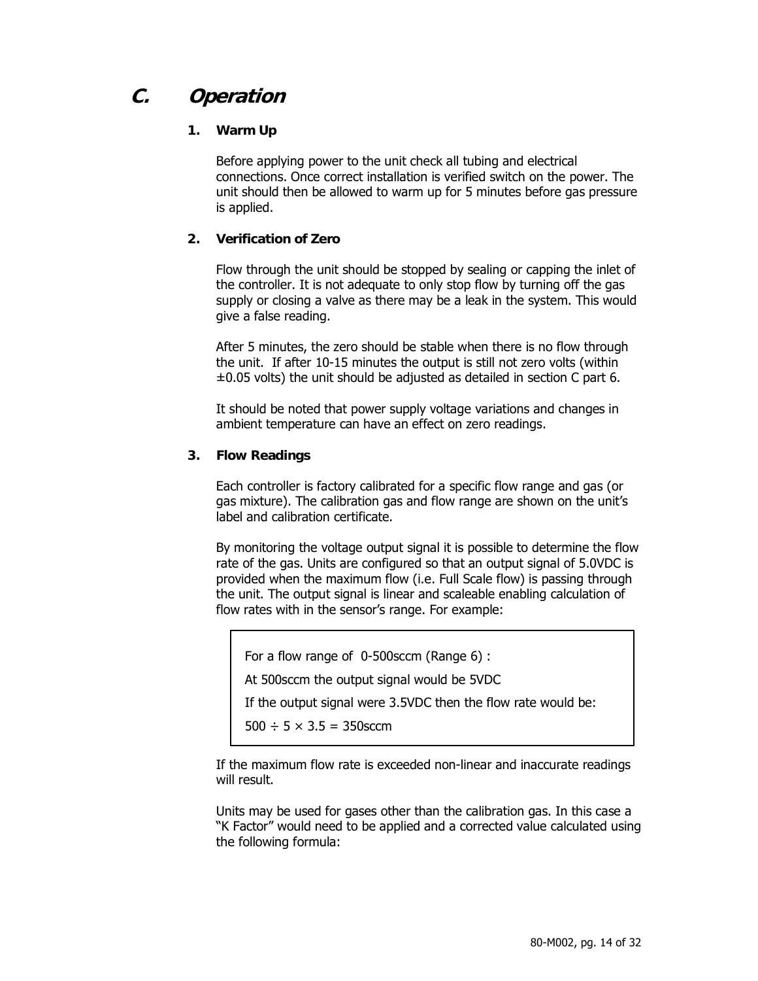### **C. Operation**

#### **1. Warm Up**

Before applying power to the unit check all tubing and electrical connections. Once correct installation is verified switch on the power. The unit should then be allowed to warm up for 5 minutes before gas pressure is applied.

#### **2. Verification of Zero**

Flow through the unit should be stopped by sealing or capping the inlet of the controller. It is not adequate to only stop flow by turning off the gas supply or closing a valve as there may be a leak in the system. This would give a false reading.

After 5 minutes, the zero should be stable when there is no flow through the unit. If after 10-15 minutes the output is still not zero volts (within  $\pm 0.05$  volts) the unit should be adjusted as detailed in section C part 6.

It should be noted that power supply voltage variations and changes in ambient temperature can have an effect on zero readings.

#### **3. Flow Readings**

Each controller is factory calibrated for a specific flow range and gas (or gas mixture). The calibration gas and flow range are shown on the unit's label and calibration certificate.

By monitoring the voltage output signal it is possible to determine the flow rate of the gas. Units are configured so that an output signal of 5.0VDC is provided when the maximum flow (i.e. Full Scale flow) is passing through the unit. The output signal is linear and scaleable enabling calculation of flow rates with in the sensor's range. For example:

For a flow range of 0-500sccm (Range 6) :

At 500sccm the output signal would be 5VDC

If the output signal were 3.5VDC then the flow rate would be:

500  $\div$  5  $\times$  3.5 = 350sccm

If the maximum flow rate is exceeded non-linear and inaccurate readings will result.

Units may be used for gases other than the calibration gas. In this case a "K Factor" would need to be applied and a corrected value calculated using the following formula: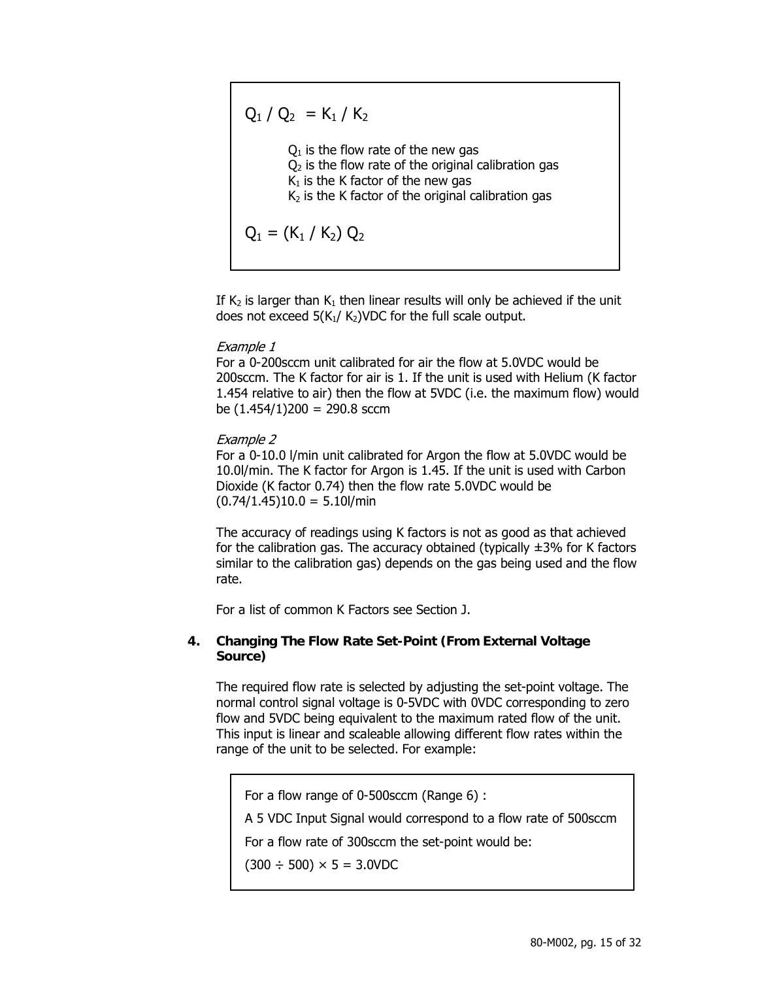$Q_1 / Q_2 = K_1 / K_2$  $Q_1$  is the flow rate of the new gas  $Q<sub>2</sub>$  is the flow rate of the original calibration gas  $K_1$  is the K factor of the new gas  $K<sub>2</sub>$  is the K factor of the original calibration gas  $Q_1 = (K_1 / K_2) Q_2$ 

If  $K_2$  is larger than  $K_1$  then linear results will only be achieved if the unit does not exceed  $5(K_1/K_2)$ VDC for the full scale output.

#### Example 1

For a 0-200sccm unit calibrated for air the flow at 5.0VDC would be 200sccm. The K factor for air is 1. If the unit is used with Helium (K factor 1.454 relative to air) then the flow at 5VDC (i.e. the maximum flow) would be  $(1.454/1)200 = 290.8$  sccm

#### Example 2

For a 0-10.0 l/min unit calibrated for Argon the flow at 5.0VDC would be 10.0l/min. The K factor for Argon is 1.45. If the unit is used with Carbon Dioxide (K factor 0.74) then the flow rate 5.0VDC would be  $(0.74/1.45)10.0 = 5.10$ l/min

The accuracy of readings using K factors is not as good as that achieved for the calibration gas. The accuracy obtained (typically  $\pm 3\%$  for K factors similar to the calibration gas) depends on the gas being used and the flow rate.

For a list of common K Factors see Section J.

#### **4. Changing The Flow Rate Set-Point (From External Voltage Source)**

The required flow rate is selected by adjusting the set-point voltage. The normal control signal voltage is 0-5VDC with 0VDC corresponding to zero flow and 5VDC being equivalent to the maximum rated flow of the unit. This input is linear and scaleable allowing different flow rates within the range of the unit to be selected. For example:

For a flow range of 0-500sccm (Range 6) :

A 5 VDC Input Signal would correspond to a flow rate of 500sccm

For a flow rate of 300sccm the set-point would be:

 $(300 \div 500) \times 5 = 3.0$ VDC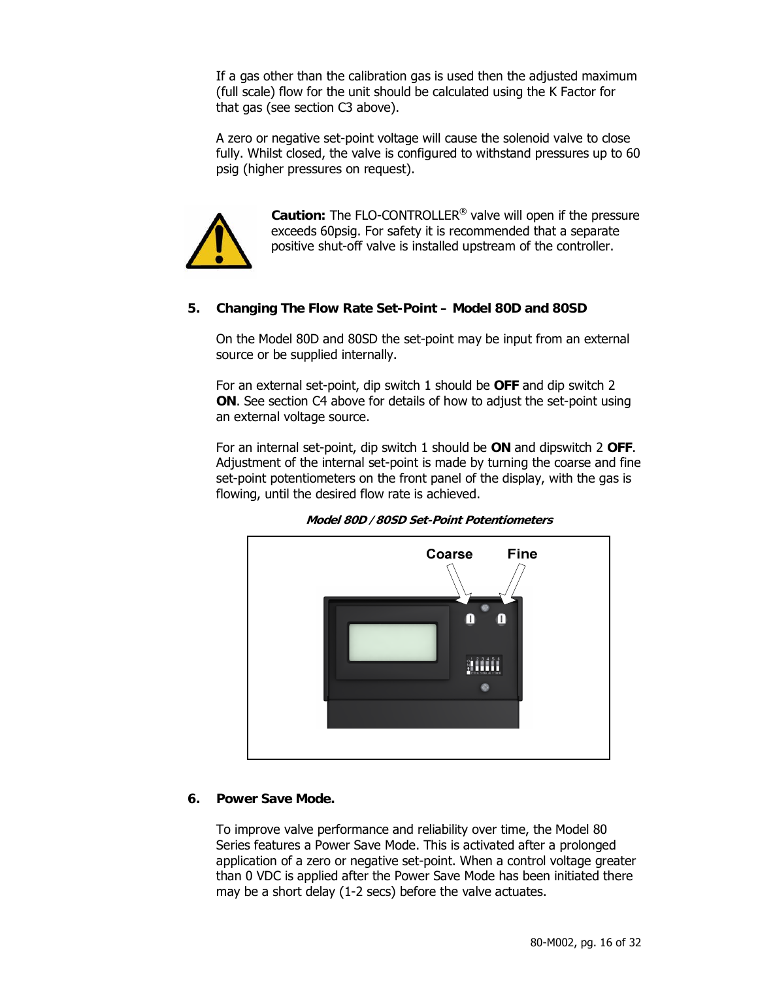If a gas other than the calibration gas is used then the adjusted maximum (full scale) flow for the unit should be calculated using the K Factor for that gas (see section C3 above).

A zero or negative set-point voltage will cause the solenoid valve to close fully. Whilst closed, the valve is configured to withstand pressures up to 60 psig (higher pressures on request).



**Caution:** The FLO-CONTROLLER® valve will open if the pressure exceeds 60psig. For safety it is recommended that a separate positive shut-off valve is installed upstream of the controller.

#### **5. Changing The Flow Rate Set-Point – Model 80D and 80SD**

On the Model 80D and 80SD the set-point may be input from an external source or be supplied internally.

For an external set-point, dip switch 1 should be **OFF** and dip switch 2 **ON**. See section C4 above for details of how to adjust the set-point using an external voltage source.

For an internal set-point, dip switch 1 should be **ON** and dipswitch 2 **OFF**. Adjustment of the internal set-point is made by turning the coarse and fine set-point potentiometers on the front panel of the display, with the gas is flowing, until the desired flow rate is achieved.



**Model 80D /80SD Set-Point Potentiometers**

#### **6. Power Save Mode.**

To improve valve performance and reliability over time, the Model 80 Series features a Power Save Mode. This is activated after a prolonged application of a zero or negative set-point. When a control voltage greater than 0 VDC is applied after the Power Save Mode has been initiated there may be a short delay (1-2 secs) before the valve actuates.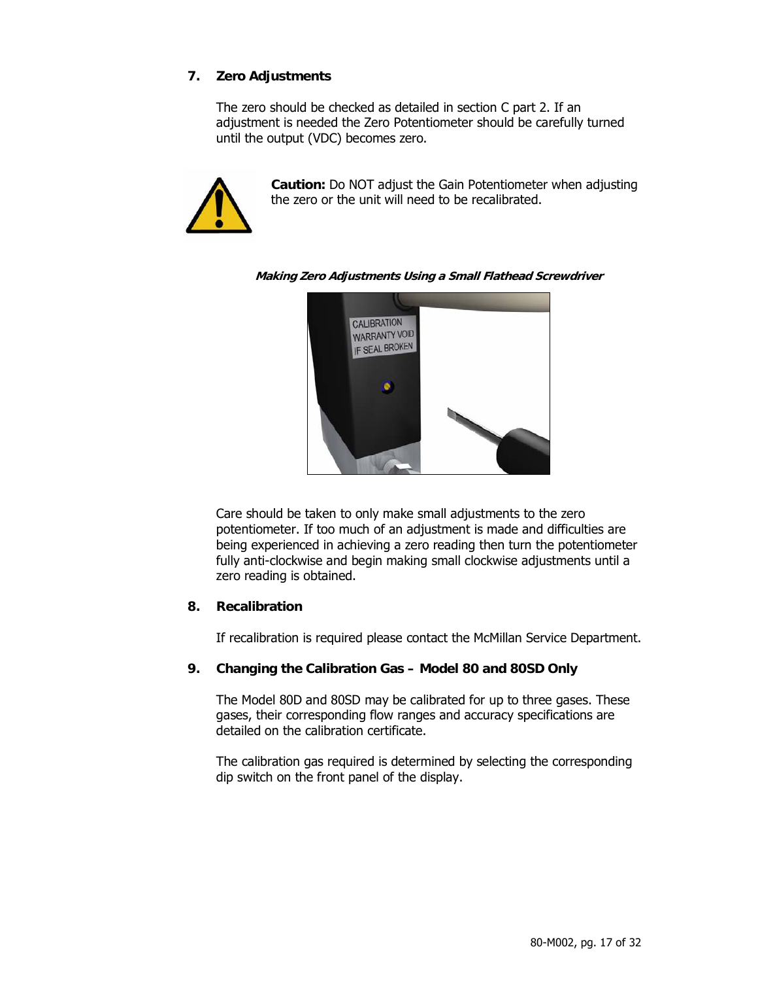#### **7. Zero Adjustments**

The zero should be checked as detailed in section C part 2. If an adjustment is needed the Zero Potentiometer should be carefully turned until the output (VDC) becomes zero.



**Caution:** Do NOT adjust the Gain Potentiometer when adjusting the zero or the unit will need to be recalibrated.



**Making Zero Adjustments Using a Small Flathead Screwdriver** 

Care should be taken to only make small adjustments to the zero potentiometer. If too much of an adjustment is made and difficulties are being experienced in achieving a zero reading then turn the potentiometer fully anti-clockwise and begin making small clockwise adjustments until a zero reading is obtained.

#### **8. Recalibration**

If recalibration is required please contact the McMillan Service Department.

#### **9. Changing the Calibration Gas – Model 80 and 80SD Only**

The Model 80D and 80SD may be calibrated for up to three gases. These gases, their corresponding flow ranges and accuracy specifications are detailed on the calibration certificate.

The calibration gas required is determined by selecting the corresponding dip switch on the front panel of the display.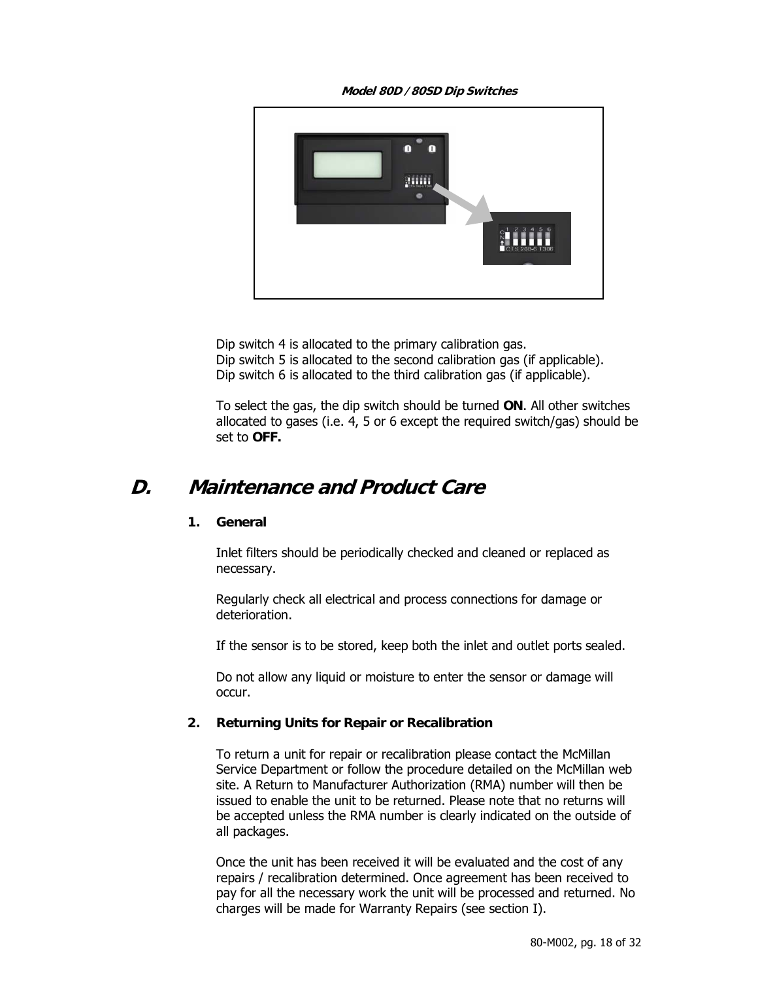**Model 80D /80SD Dip Switches** 



Dip switch 4 is allocated to the primary calibration gas. Dip switch 5 is allocated to the second calibration gas (if applicable). Dip switch 6 is allocated to the third calibration gas (if applicable).

To select the gas, the dip switch should be turned **ON**. All other switches allocated to gases (i.e. 4, 5 or 6 except the required switch/gas) should be set to **OFF.** 

### **D. Maintenance and Product Care**

#### **1. General**

Inlet filters should be periodically checked and cleaned or replaced as necessary.

Regularly check all electrical and process connections for damage or deterioration.

If the sensor is to be stored, keep both the inlet and outlet ports sealed.

Do not allow any liquid or moisture to enter the sensor or damage will occur.

#### **2. Returning Units for Repair or Recalibration**

To return a unit for repair or recalibration please contact the McMillan Service Department or follow the procedure detailed on the McMillan web site. A Return to Manufacturer Authorization (RMA) number will then be issued to enable the unit to be returned. Please note that no returns will be accepted unless the RMA number is clearly indicated on the outside of all packages.

Once the unit has been received it will be evaluated and the cost of any repairs / recalibration determined. Once agreement has been received to pay for all the necessary work the unit will be processed and returned. No charges will be made for Warranty Repairs (see section I).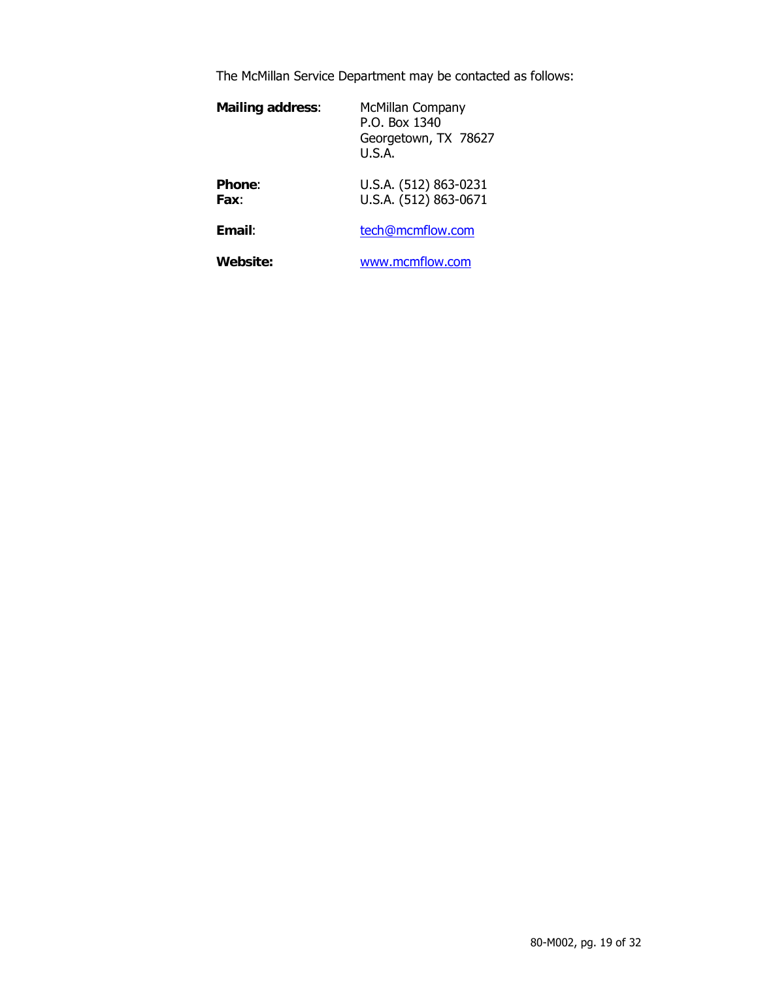The McMillan Service Department may be contacted as follows:

| <b>Mailing address:</b> | McMillan Company<br>P.O. Box 1340<br>Georgetown, TX 78627<br>U.S.A. |
|-------------------------|---------------------------------------------------------------------|
| <b>Phone:</b><br>Fax:   | U.S.A. (512) 863-0231<br>U.S.A. (512) 863-0671                      |
| Email:                  | tech@mcmflow.com                                                    |
| <b>Website:</b>         | www.mcmflow.com                                                     |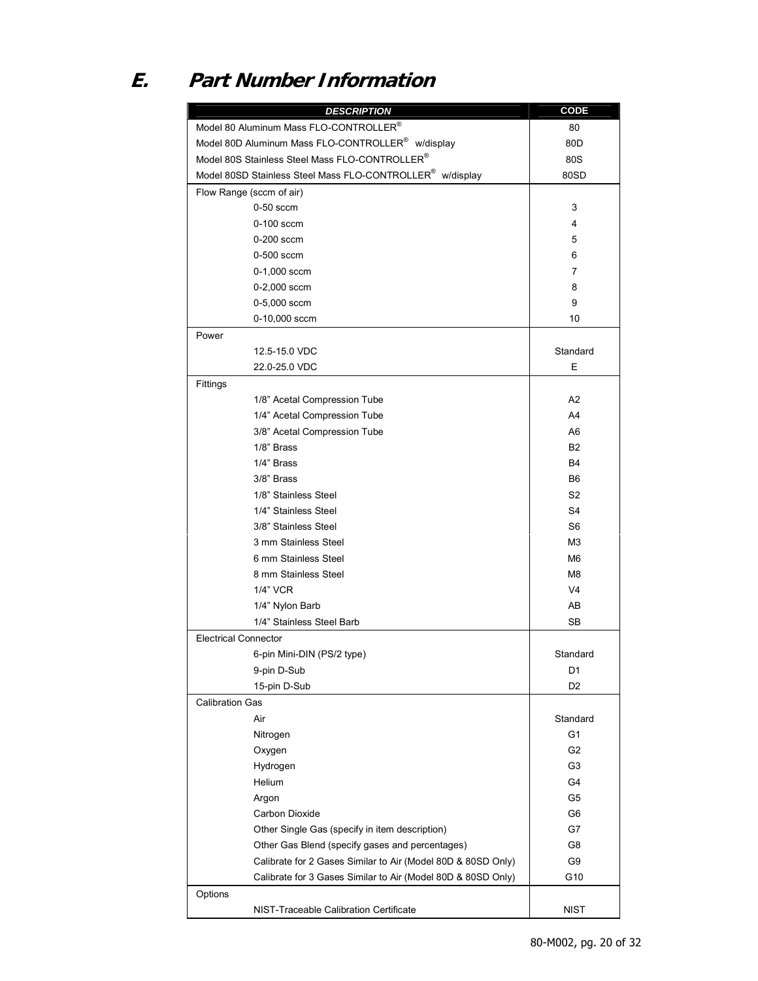## **E. Part Number Information**

| <b>DESCRIPTION</b>                                                    | <b>CODE</b>    |
|-----------------------------------------------------------------------|----------------|
| Model 80 Aluminum Mass FLO-CONTROLLER®                                | 80             |
| Model 80D Aluminum Mass FLO-CONTROLLER <sup>®</sup> w/display         | 80D            |
| Model 80S Stainless Steel Mass FLO-CONTROLLER®                        | 80S            |
| Model 80SD Stainless Steel Mass FLO-CONTROLLER <sup>®</sup> w/display | 80SD           |
| Flow Range (sccm of air)                                              |                |
| $0-50$ sccm                                                           | 3              |
| $0-100$ sccm                                                          | 4              |
| $0-200$ sccm                                                          | 5              |
| 0-500 sccm                                                            | 6              |
| $0-1,000$ sccm                                                        | 7              |
| $0 - 2,000$ sccm                                                      | 8              |
| 0-5,000 sccm                                                          | 9              |
| 0-10,000 sccm                                                         | 10             |
| Power                                                                 |                |
| 12.5-15.0 VDC                                                         | Standard       |
| 22.0-25.0 VDC                                                         | E              |
| Fittings                                                              |                |
| 1/8" Acetal Compression Tube                                          | A <sub>2</sub> |
| 1/4" Acetal Compression Tube                                          | A4             |
| 3/8" Acetal Compression Tube                                          | A6             |
| 1/8" Brass                                                            | <b>B2</b>      |
| 1/4" Brass                                                            | <b>B4</b>      |
| 3/8" Brass                                                            | B <sub>6</sub> |
| 1/8" Stainless Steel                                                  | S2             |
| 1/4" Stainless Steel                                                  | S <sub>4</sub> |
| 3/8" Stainless Steel                                                  | S6             |
| 3 mm Stainless Steel                                                  | M3             |
| 6 mm Stainless Steel                                                  | M6             |
| 8 mm Stainless Steel                                                  | M8             |
| 1/4" VCR                                                              | V <sub>4</sub> |
| 1/4" Nylon Barb                                                       | AB             |
| 1/4" Stainless Steel Barb                                             | <b>SB</b>      |
| <b>Electrical Connector</b>                                           |                |
| 6-pin Mini-DIN (PS/2 type)                                            | Standard       |
| 9-pin D-Sub                                                           | D <sub>1</sub> |
| 15-pin D-Sub                                                          | D <sub>2</sub> |
| <b>Calibration Gas</b>                                                |                |
| Air                                                                   | Standard       |
| Nitrogen                                                              | G1             |
| Oxygen                                                                | G <sub>2</sub> |
| Hydrogen                                                              | G3             |
| Helium                                                                | G4             |
| Argon                                                                 | G5             |
| Carbon Dioxide                                                        | G6             |
| Other Single Gas (specify in item description)                        | G7             |
| Other Gas Blend (specify gases and percentages)                       | G8             |
| Calibrate for 2 Gases Similar to Air (Model 80D & 80SD Only)          | G9             |
| Calibrate for 3 Gases Similar to Air (Model 80D & 80SD Only)          | G10            |
| Options                                                               |                |
| NIST-Traceable Calibration Certificate                                | <b>NIST</b>    |
|                                                                       |                |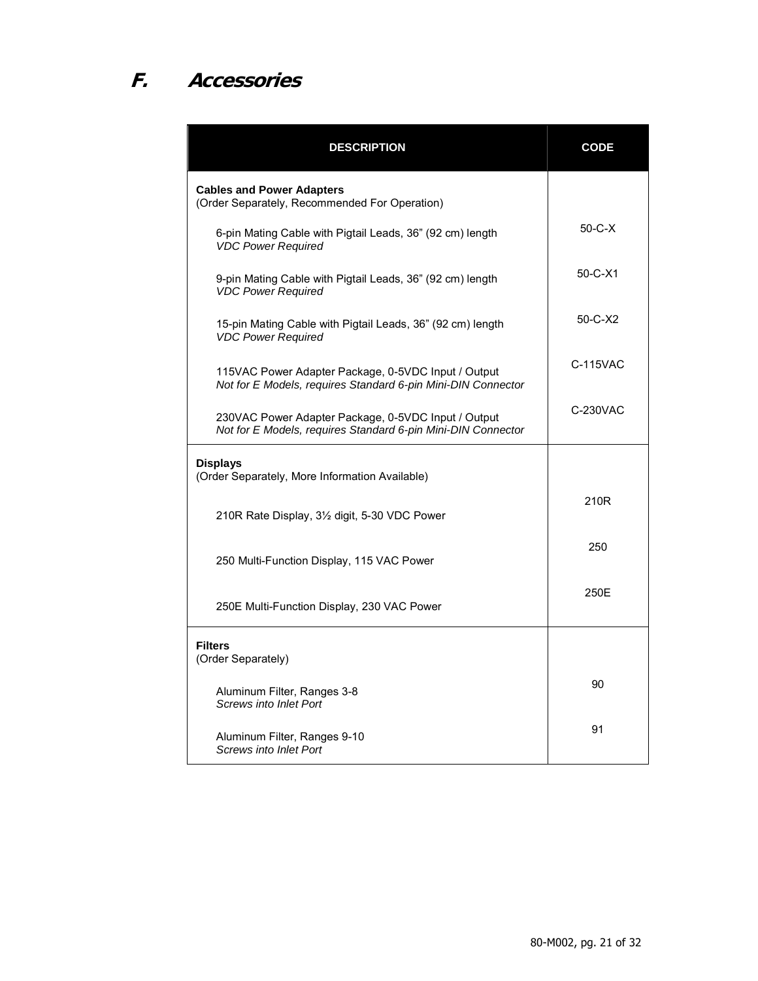# **F. Accessories**

| <b>DESCRIPTION</b>                                                                                                  | <b>CODE</b>   |
|---------------------------------------------------------------------------------------------------------------------|---------------|
| <b>Cables and Power Adapters</b><br>(Order Separately, Recommended For Operation)                                   |               |
| 6-pin Mating Cable with Pigtail Leads, 36" (92 cm) length<br><b>VDC Power Required</b>                              | $50 - C - X$  |
| 9-pin Mating Cable with Pigtail Leads, 36" (92 cm) length<br><b>VDC Power Required</b>                              | $50 - C - X1$ |
| 15-pin Mating Cable with Pigtail Leads, 36" (92 cm) length<br><b>VDC Power Required</b>                             | $50-C-X2$     |
| 115VAC Power Adapter Package, 0-5VDC Input / Output<br>Not for E Models, requires Standard 6-pin Mini-DIN Connector | C-115VAC      |
| 230VAC Power Adapter Package, 0-5VDC Input / Output<br>Not for E Models, requires Standard 6-pin Mini-DIN Connector | C-230VAC      |
| <b>Displays</b><br>(Order Separately, More Information Available)                                                   |               |
| 210R Rate Display, 3½ digit, 5-30 VDC Power                                                                         | 210R          |
| 250 Multi-Function Display, 115 VAC Power                                                                           | 250           |
| 250E Multi-Function Display, 230 VAC Power                                                                          | 250E          |
| <b>Filters</b><br>(Order Separately)                                                                                |               |
| Aluminum Filter, Ranges 3-8<br><b>Screws into Inlet Port</b>                                                        | 90            |
| Aluminum Filter, Ranges 9-10<br><b>Screws into Inlet Port</b>                                                       | 91            |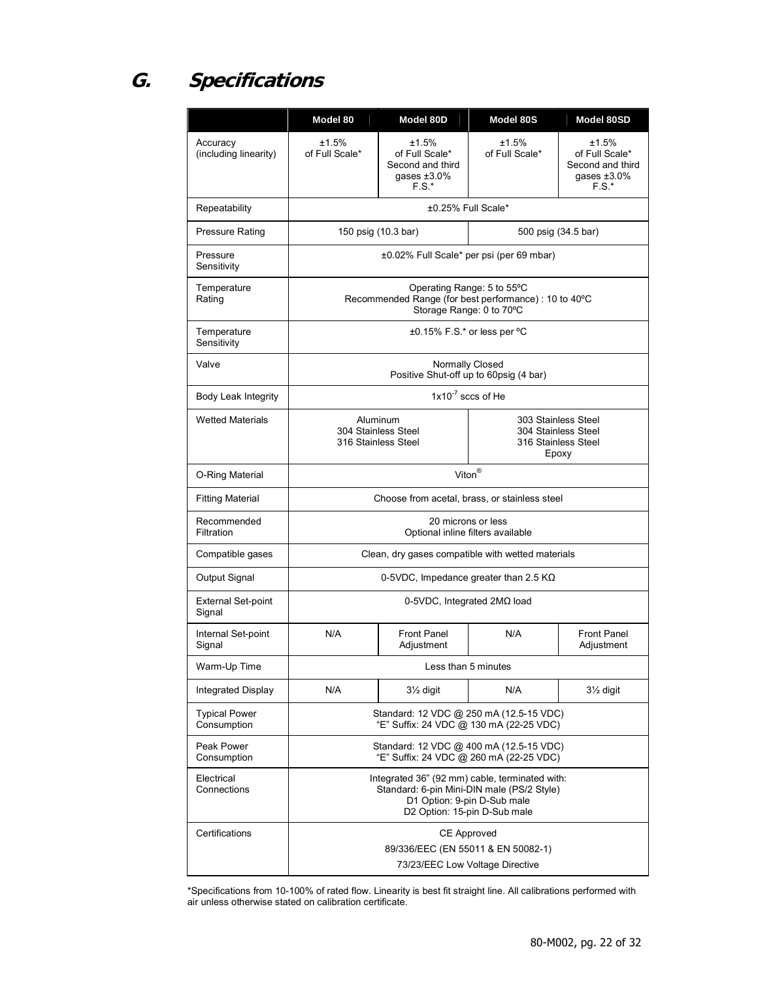## **G. Specifications**

|                                     | Model 80                                                                                                                                                    | Model 80D                                                                | Model 80S                                                                  | Model 80SD                                                               |  |
|-------------------------------------|-------------------------------------------------------------------------------------------------------------------------------------------------------------|--------------------------------------------------------------------------|----------------------------------------------------------------------------|--------------------------------------------------------------------------|--|
| Accuracy<br>(including linearity)   | ±1.5%<br>of Full Scale*                                                                                                                                     | ±1.5%<br>of Full Scale*<br>Second and third<br>gases $±3.0\%$<br>$F.S.*$ | ±1.5%<br>of Full Scale*                                                    | ±1.5%<br>of Full Scale*<br>Second and third<br>gases $±3.0\%$<br>$F.S.*$ |  |
| Repeatability                       | ±0.25% Full Scale*                                                                                                                                          |                                                                          |                                                                            |                                                                          |  |
| <b>Pressure Rating</b>              | 150 psig (10.3 bar)<br>500 psig (34.5 bar)                                                                                                                  |                                                                          |                                                                            |                                                                          |  |
| Pressure<br>Sensitivity             | ±0.02% Full Scale* per psi (per 69 mbar)                                                                                                                    |                                                                          |                                                                            |                                                                          |  |
| Temperature<br>Rating               | Operating Range: 5 to 55°C<br>Recommended Range (for best performance) : 10 to 40°C<br>Storage Range: 0 to 70°C                                             |                                                                          |                                                                            |                                                                          |  |
| Temperature<br>Sensitivity          |                                                                                                                                                             | ±0.15% F.S.* or less per °C                                              |                                                                            |                                                                          |  |
| Valve                               |                                                                                                                                                             |                                                                          | Normally Closed<br>Positive Shut-off up to 60psig (4 bar)                  |                                                                          |  |
| Body Leak Integrity                 |                                                                                                                                                             |                                                                          | $1x10^{-7}$ sccs of He                                                     |                                                                          |  |
| <b>Wetted Materials</b>             | Aluminum<br>304 Stainless Steel<br>316 Stainless Steel                                                                                                      |                                                                          | 303 Stainless Steel<br>304 Stainless Steel<br>316 Stainless Steel<br>Epoxy |                                                                          |  |
| O-Ring Material                     | Viton <sup>®</sup>                                                                                                                                          |                                                                          |                                                                            |                                                                          |  |
| <b>Fitting Material</b>             | Choose from acetal, brass, or stainless steel                                                                                                               |                                                                          |                                                                            |                                                                          |  |
| Recommended<br>Filtration           | 20 microns or less<br>Optional inline filters available                                                                                                     |                                                                          |                                                                            |                                                                          |  |
| Compatible gases                    | Clean, dry gases compatible with wetted materials                                                                                                           |                                                                          |                                                                            |                                                                          |  |
| Output Signal                       | 0-5VDC, Impedance greater than 2.5 $K\Omega$                                                                                                                |                                                                          |                                                                            |                                                                          |  |
| <b>External Set-point</b><br>Signal | 0-5VDC, Integrated $2M\Omega$ load                                                                                                                          |                                                                          |                                                                            |                                                                          |  |
| Internal Set-point<br>Signal        | N/A                                                                                                                                                         | <b>Front Panel</b><br>Adjustment                                         | N/A                                                                        | <b>Front Panel</b><br>Adjustment                                         |  |
| Warm-Up Time                        |                                                                                                                                                             |                                                                          | Less than 5 minutes                                                        |                                                                          |  |
| Integrated Display                  | N/A                                                                                                                                                         | 31/ <sub>2</sub> digit                                                   | N/A                                                                        | 31/ <sub>2</sub> digit                                                   |  |
| <b>Typical Power</b><br>Consumption | Standard: 12 VDC @ 250 mA (12.5-15 VDC)<br>"E" Suffix: 24 VDC @ 130 mA (22-25 VDC)                                                                          |                                                                          |                                                                            |                                                                          |  |
| Peak Power<br>Consumption           | Standard: 12 VDC @ 400 mA (12.5-15 VDC)<br>"E" Suffix: 24 VDC @ 260 mA (22-25 VDC)                                                                          |                                                                          |                                                                            |                                                                          |  |
| Electrical<br>Connections           | Integrated 36" (92 mm) cable, terminated with:<br>Standard: 6-pin Mini-DIN male (PS/2 Style)<br>D1 Option: 9-pin D-Sub male<br>D2 Option: 15-pin D-Sub male |                                                                          |                                                                            |                                                                          |  |
| Certifications                      | <b>CE Approved</b>                                                                                                                                          |                                                                          |                                                                            |                                                                          |  |
|                                     | 89/336/EEC (EN 55011 & EN 50082-1)<br>73/23/EEC Low Voltage Directive                                                                                       |                                                                          |                                                                            |                                                                          |  |

\*Specifications from 10-100% of rated flow. Linearity is best fit straight line. All calibrations performed with air unless otherwise stated on calibration certificate.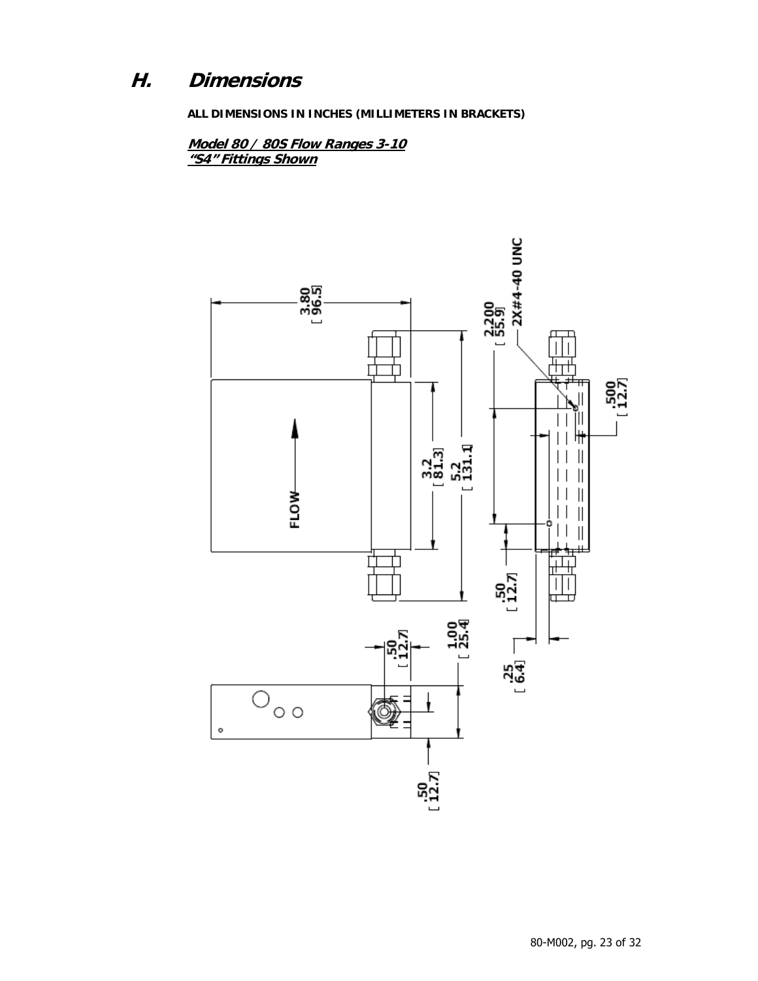### **H. Dimensions**

**ALL DIMENSIONS IN INCHES (MILLIMETERS IN BRACKETS)** 

**Model 80 / 80S Flow Ranges 3-10 "S4" Fittings Shown**

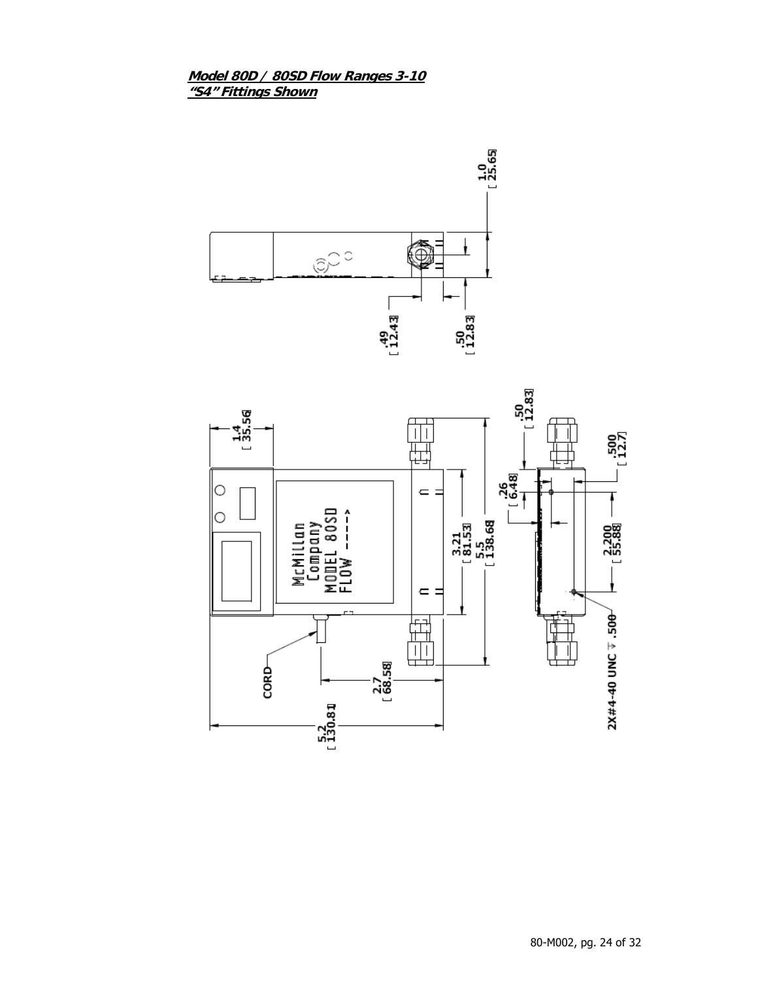#### **Model 80D / 80SD Flow Ranges 3-10 "S4" Fittings Shown**



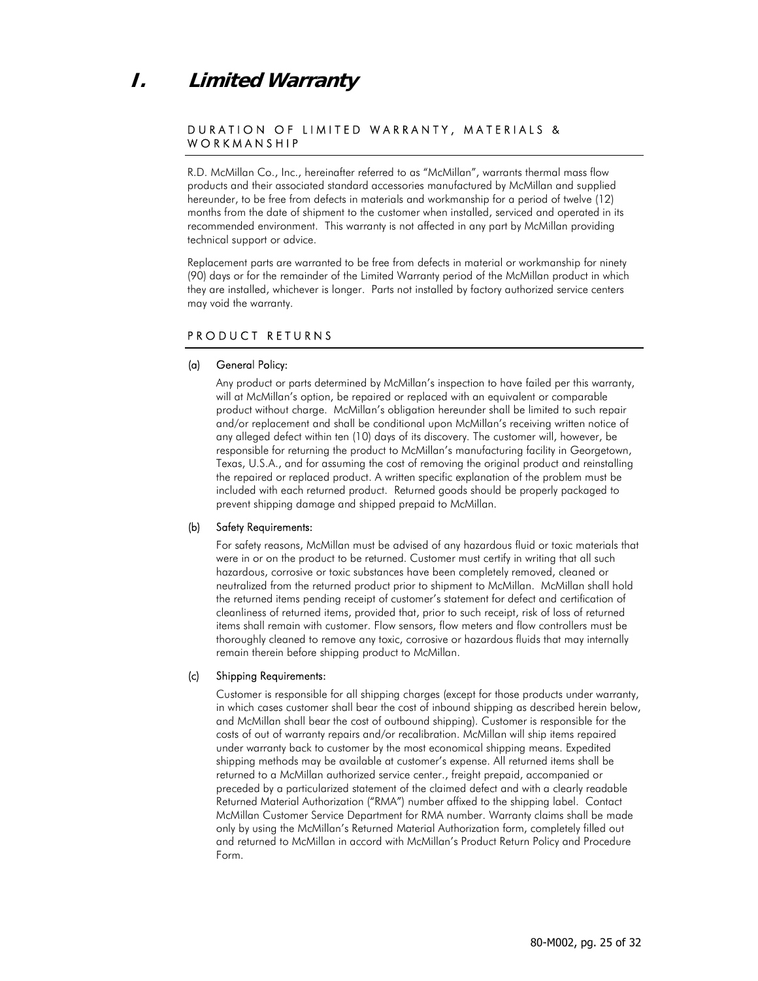### **I. Limited Warranty**

#### DURATION OF LIMITED WARRANTY, MATERIALS & WORKMANSHIP

R.D. McMillan Co., Inc., hereinafter referred to as "McMillan", warrants thermal mass flow products and their associated standard accessories manufactured by McMillan and supplied hereunder, to be free from defects in materials and workmanship for a period of twelve (12) months from the date of shipment to the customer when installed, serviced and operated in its recommended environment. This warranty is not affected in any part by McMillan providing technical support or advice.

Replacement parts are warranted to be free from defects in material or workmanship for ninety (90) days or for the remainder of the Limited Warranty period of the McMillan product in which they are installed, whichever is longer. Parts not installed by factory authorized service centers may void the warranty.

#### PRODUCT RETURNS

#### (a) General Policy:

Any product or parts determined by McMillan's inspection to have failed per this warranty, will at McMillan's option, be repaired or replaced with an equivalent or comparable product without charge. McMillan's obligation hereunder shall be limited to such repair and/or replacement and shall be conditional upon McMillan's receiving written notice of any alleged defect within ten (10) days of its discovery. The customer will, however, be responsible for returning the product to McMillan's manufacturing facility in Georgetown, Texas, U.S.A., and for assuming the cost of removing the original product and reinstalling the repaired or replaced product. A written specific explanation of the problem must be included with each returned product. Returned goods should be properly packaged to prevent shipping damage and shipped prepaid to McMillan.

#### (b) Safety Requirements:

For safety reasons, McMillan must be advised of any hazardous fluid or toxic materials that were in or on the product to be returned. Customer must certify in writing that all such hazardous, corrosive or toxic substances have been completely removed, cleaned or neutralized from the returned product prior to shipment to McMillan. McMillan shall hold the returned items pending receipt of customer's statement for defect and certification of cleanliness of returned items, provided that, prior to such receipt, risk of loss of returned items shall remain with customer. Flow sensors, flow meters and flow controllers must be thoroughly cleaned to remove any toxic, corrosive or hazardous fluids that may internally remain therein before shipping product to McMillan.

#### (c) Shipping Requirements:

Customer is responsible for all shipping charges (except for those products under warranty, in which cases customer shall bear the cost of inbound shipping as described herein below, and McMillan shall bear the cost of outbound shipping). Customer is responsible for the costs of out of warranty repairs and/or recalibration. McMillan will ship items repaired under warranty back to customer by the most economical shipping means. Expedited shipping methods may be available at customer's expense. All returned items shall be returned to a McMillan authorized service center., freight prepaid, accompanied or preceded by a particularized statement of the claimed defect and with a clearly readable Returned Material Authorization ("RMA") number affixed to the shipping label. Contact McMillan Customer Service Department for RMA number. Warranty claims shall be made only by using the McMillan's Returned Material Authorization form, completely filled out and returned to McMillan in accord with McMillan's Product Return Policy and Procedure Form.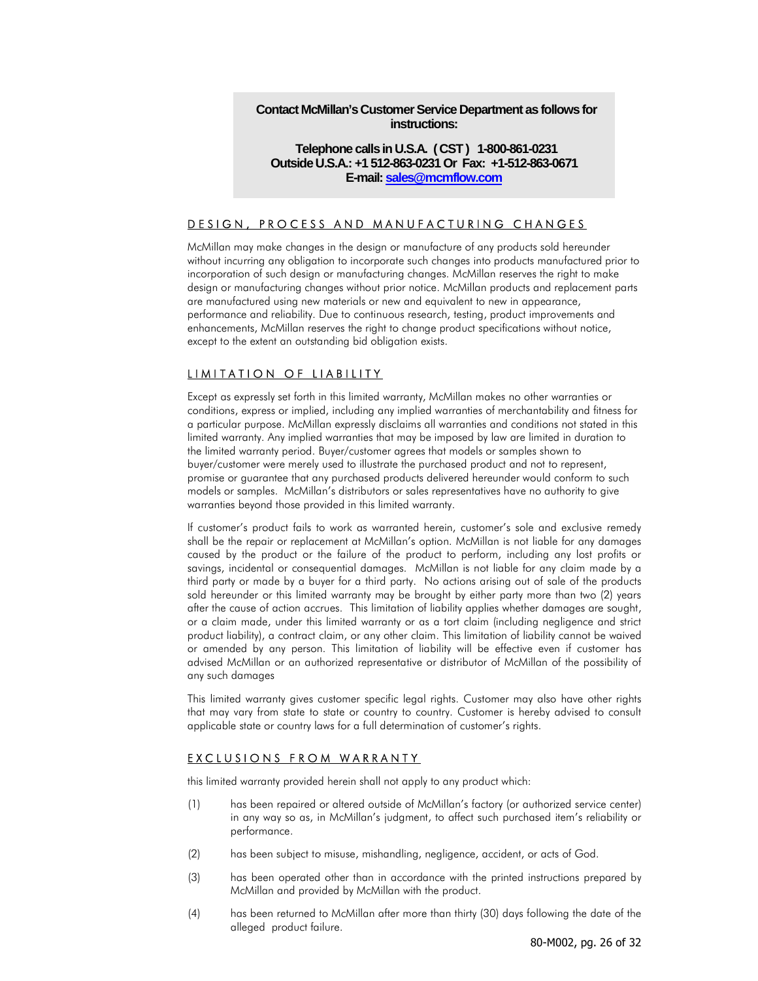#### **Contact McMillan's Customer Service Department as follows for instructions:**

#### **Telephone calls in U.S.A. ( CST ) 1-800-861-0231 Outside U.S.A.: +1 512-863-0231 Or Fax: +1-512-863-0671 E-mail: sales@mcmflow.com**

#### DESIGN, PROCESS AND MANUFACTURING CHANGES

McMillan may make changes in the design or manufacture of any products sold hereunder without incurring any obligation to incorporate such changes into products manufactured prior to incorporation of such design or manufacturing changes. McMillan reserves the right to make design or manufacturing changes without prior notice. McMillan products and replacement parts are manufactured using new materials or new and equivalent to new in appearance, performance and reliability. Due to continuous research, testing, product improvements and enhancements, McMillan reserves the right to change product specifications without notice, except to the extent an outstanding bid obligation exists.

#### LIMITATION OF LIABILITY

Except as expressly set forth in this limited warranty, McMillan makes no other warranties or conditions, express or implied, including any implied warranties of merchantability and fitness for a particular purpose. McMillan expressly disclaims all warranties and conditions not stated in this limited warranty. Any implied warranties that may be imposed by law are limited in duration to the limited warranty period. Buyer/customer agrees that models or samples shown to buyer/customer were merely used to illustrate the purchased product and not to represent, promise or guarantee that any purchased products delivered hereunder would conform to such models or samples. McMillan's distributors or sales representatives have no authority to give warranties beyond those provided in this limited warranty.

If customer's product fails to work as warranted herein, customer's sole and exclusive remedy shall be the repair or replacement at McMillan's option. McMillan is not liable for any damages caused by the product or the failure of the product to perform, including any lost profits or savings, incidental or consequential damages. McMillan is not liable for any claim made by a third party or made by a buyer for a third party. No actions arising out of sale of the products sold hereunder or this limited warranty may be brought by either party more than two (2) years after the cause of action accrues. This limitation of liability applies whether damages are sought, or a claim made, under this limited warranty or as a tort claim (including negligence and strict product liability), a contract claim, or any other claim. This limitation of liability cannot be waived or amended by any person. This limitation of liability will be effective even if customer has advised McMillan or an authorized representative or distributor of McMillan of the possibility of any such damages

This limited warranty gives customer specific legal rights. Customer may also have other rights that may vary from state to state or country to country. Customer is hereby advised to consult applicable state or country laws for a full determination of customer's rights.

#### EXCLUSIONS FROM WARRANTY

this limited warranty provided herein shall not apply to any product which:

- (1) has been repaired or altered outside of McMillan's factory (or authorized service center) in any way so as, in McMillan's judgment, to affect such purchased item's reliability or performance.
- (2) has been subject to misuse, mishandling, negligence, accident, or acts of God.
- (3) has been operated other than in accordance with the printed instructions prepared by McMillan and provided by McMillan with the product.
- (4) has been returned to McMillan after more than thirty (30) days following the date of the alleged product failure.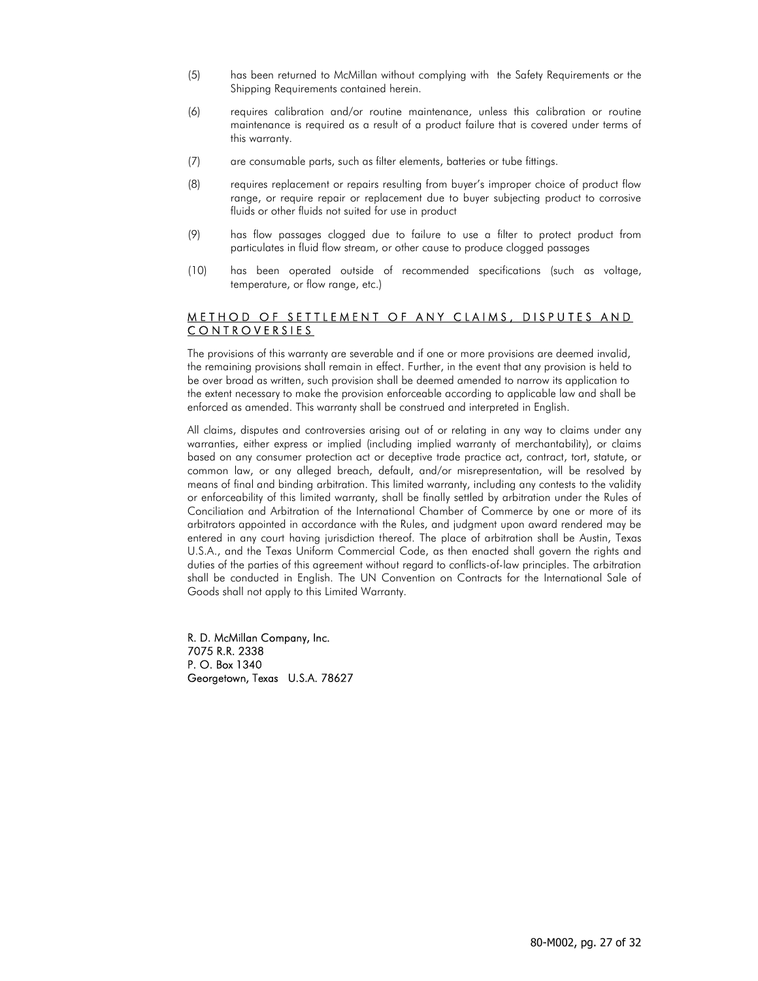- (5) has been returned to McMillan without complying with the Safety Requirements or the Shipping Requirements contained herein.
- (6) requires calibration and/or routine maintenance, unless this calibration or routine maintenance is required as a result of a product failure that is covered under terms of this warranty.
- (7) are consumable parts, such as filter elements, batteries or tube fittings.
- (8) requires replacement or repairs resulting from buyer's improper choice of product flow range, or require repair or replacement due to buyer subjecting product to corrosive fluids or other fluids not suited for use in product
- (9) has flow passages clogged due to failure to use a filter to protect product from particulates in fluid flow stream, or other cause to produce clogged passages
- (10) has been operated outside of recommended specifications (such as voltage, temperature, or flow range, etc.)

#### METHOD OF SETTLEMENT OF ANY CLAIMS, DISPUTES AND CONTROVERSIES

The provisions of this warranty are severable and if one or more provisions are deemed invalid, the remaining provisions shall remain in effect. Further, in the event that any provision is held to be over broad as written, such provision shall be deemed amended to narrow its application to the extent necessary to make the provision enforceable according to applicable law and shall be enforced as amended. This warranty shall be construed and interpreted in English.

All claims, disputes and controversies arising out of or relating in any way to claims under any warranties, either express or implied (including implied warranty of merchantability), or claims based on any consumer protection act or deceptive trade practice act, contract, tort, statute, or common law, or any alleged breach, default, and/or misrepresentation, will be resolved by means of final and binding arbitration. This limited warranty, including any contests to the validity or enforceability of this limited warranty, shall be finally settled by arbitration under the Rules of Conciliation and Arbitration of the International Chamber of Commerce by one or more of its arbitrators appointed in accordance with the Rules, and judgment upon award rendered may be entered in any court having jurisdiction thereof. The place of arbitration shall be Austin, Texas U.S.A., and the Texas Uniform Commercial Code, as then enacted shall govern the rights and duties of the parties of this agreement without regard to conflicts-of-law principles. The arbitration shall be conducted in English. The UN Convention on Contracts for the International Sale of Goods shall not apply to this Limited Warranty.

R. D. McMillan Company, Inc. 7075 R.R. 2338 P. O. Box 1340 Georgetown, Texas U.S.A. 78627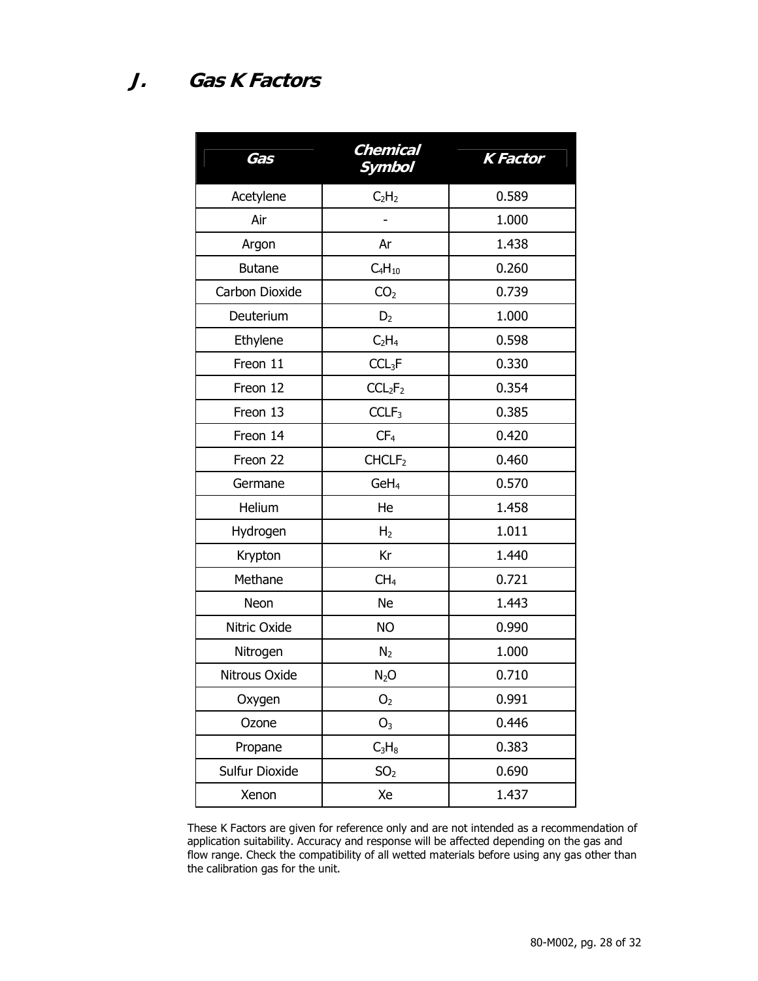| Gas            | Chemical<br><b>Symbol</b>       | <b>K</b> Factor |
|----------------|---------------------------------|-----------------|
| Acetylene      | C <sub>2</sub> H <sub>2</sub>   | 0.589           |
| Air            |                                 | 1.000           |
| Argon          | Ar                              | 1.438           |
| <b>Butane</b>  | $C_4H_{10}$                     | 0.260           |
| Carbon Dioxide | CO <sub>2</sub>                 | 0.739           |
| Deuterium      | D <sub>2</sub>                  | 1.000           |
| Ethylene       | C <sub>2</sub> H <sub>4</sub>   | 0.598           |
| Freon 11       | CCL <sub>3</sub> F              | 0.330           |
| Freon 12       | CCL <sub>2</sub> F <sub>2</sub> | 0.354           |
| Freon 13       | CCLF <sub>3</sub>               | 0.385           |
| Freon 14       | CF <sub>4</sub>                 | 0.420           |
| Freon 22       | CHCLF <sub>2</sub>              | 0.460           |
| Germane        | GeH <sub>4</sub>                | 0.570           |
| Helium         | He                              | 1.458           |
| Hydrogen       | H <sub>2</sub>                  | 1.011           |
| Krypton        | Kr                              | 1.440           |
| Methane        | CH <sub>4</sub>                 | 0.721           |
| Neon           | <b>Ne</b>                       | 1.443           |
| Nitric Oxide   | <b>NO</b>                       | 0.990           |
| Nitrogen       | N <sub>2</sub>                  | 1.000           |
| Nitrous Oxide  | $N_2O$                          | 0.710           |
| Oxygen         | $O2$                            | 0.991           |
| Ozone          | O <sub>3</sub>                  | 0.446           |
| Propane        | $C_3H_8$                        | 0.383           |
| Sulfur Dioxide | SO <sub>2</sub>                 | 0.690           |
| Xenon          | Xe                              | 1.437           |

These K Factors are given for reference only and are not intended as a recommendation of application suitability. Accuracy and response will be affected depending on the gas and flow range. Check the compatibility of all wetted materials before using any gas other than the calibration gas for the unit.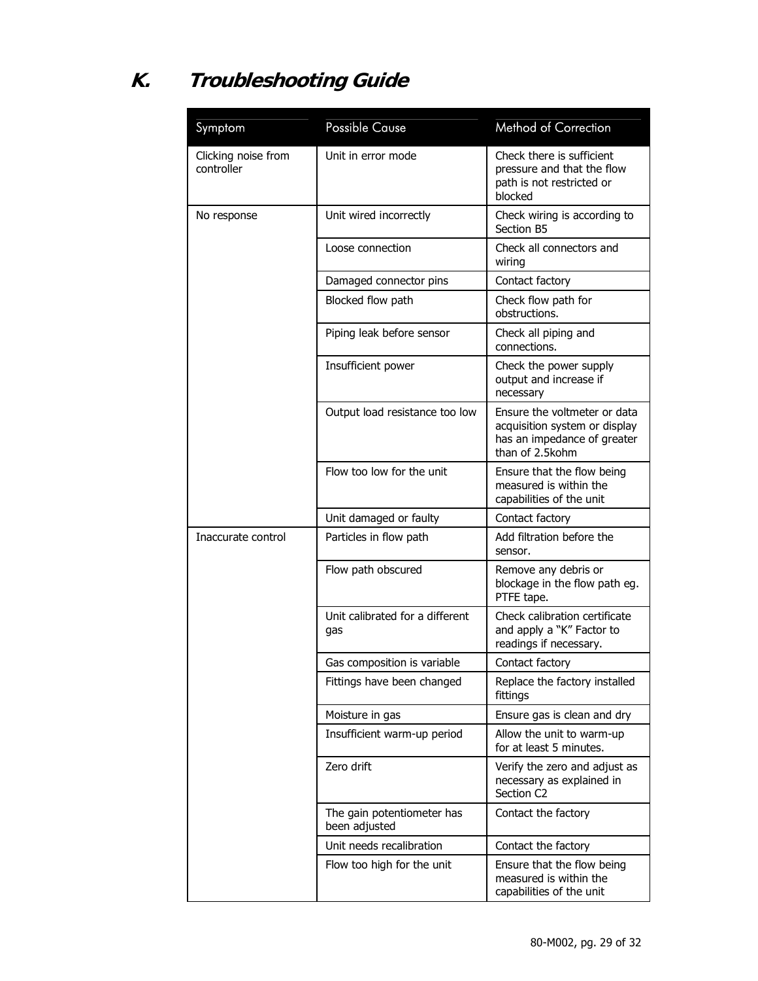# **K. Troubleshooting Guide**

| Symptom                           | <b>Possible Cause</b>                       | <b>Method of Correction</b>                                                                                     |
|-----------------------------------|---------------------------------------------|-----------------------------------------------------------------------------------------------------------------|
| Clicking noise from<br>controller | Unit in error mode                          | Check there is sufficient<br>pressure and that the flow<br>path is not restricted or<br>blocked                 |
| No response                       | Unit wired incorrectly                      | Check wiring is according to<br>Section B5                                                                      |
|                                   | Loose connection                            | Check all connectors and<br>wiring                                                                              |
|                                   | Damaged connector pins                      | Contact factory                                                                                                 |
|                                   | Blocked flow path                           | Check flow path for<br>obstructions.                                                                            |
|                                   | Piping leak before sensor                   | Check all piping and<br>connections.                                                                            |
|                                   | Insufficient power                          | Check the power supply<br>output and increase if<br>necessary                                                   |
|                                   | Output load resistance too low              | Ensure the voltmeter or data<br>acquisition system or display<br>has an impedance of greater<br>than of 2.5kohm |
|                                   | Flow too low for the unit                   | Ensure that the flow being<br>measured is within the<br>capabilities of the unit                                |
|                                   | Unit damaged or faulty                      | Contact factory                                                                                                 |
| Inaccurate control                | Particles in flow path                      | Add filtration before the<br>sensor.                                                                            |
|                                   | Flow path obscured                          | Remove any debris or<br>blockage in the flow path eg.<br>PTFE tape.                                             |
|                                   | Unit calibrated for a different<br>gas      | Check calibration certificate<br>and apply a "K" Factor to<br>readings if necessary.                            |
|                                   | Gas composition is variable                 | Contact factory                                                                                                 |
|                                   | Fittings have been changed                  | Replace the factory installed<br>fittings                                                                       |
|                                   | Moisture in gas                             | Ensure gas is clean and dry                                                                                     |
|                                   | Insufficient warm-up period                 | Allow the unit to warm-up<br>for at least 5 minutes.                                                            |
|                                   | Zero drift                                  | Verify the zero and adjust as<br>necessary as explained in<br>Section C2                                        |
|                                   | The gain potentiometer has<br>been adjusted | Contact the factory                                                                                             |
|                                   | Unit needs recalibration                    | Contact the factory                                                                                             |
|                                   | Flow too high for the unit                  | Ensure that the flow being<br>measured is within the<br>capabilities of the unit                                |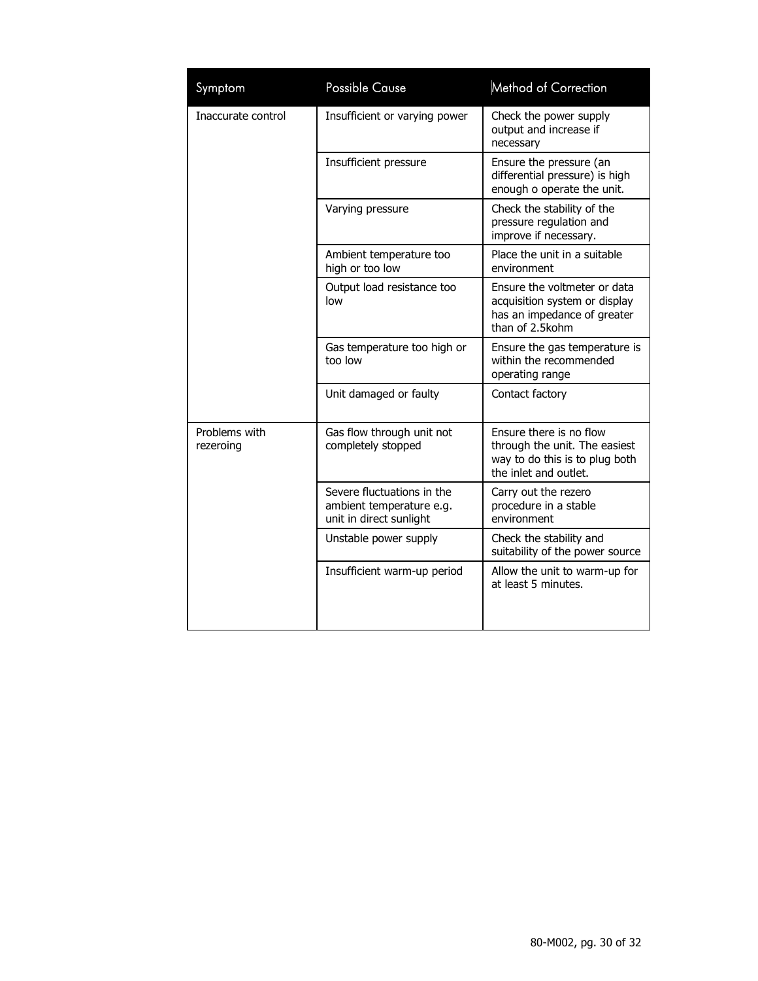| Symptom                    | <b>Possible Cause</b>                                                             | <b>Method of Correction</b>                                                                                         |
|----------------------------|-----------------------------------------------------------------------------------|---------------------------------------------------------------------------------------------------------------------|
| Inaccurate control         | Insufficient or varying power                                                     | Check the power supply<br>output and increase if<br>necessary                                                       |
|                            | Insufficient pressure                                                             | Ensure the pressure (an<br>differential pressure) is high<br>enough o operate the unit.                             |
|                            | Varying pressure                                                                  | Check the stability of the<br>pressure regulation and<br>improve if necessary.                                      |
|                            | Ambient temperature too<br>high or too low                                        | Place the unit in a suitable<br>environment                                                                         |
|                            | Output load resistance too<br>low                                                 | Ensure the voltmeter or data<br>acquisition system or display<br>has an impedance of greater<br>than of 2.5kohm     |
|                            | Gas temperature too high or<br>too low                                            | Ensure the gas temperature is<br>within the recommended<br>operating range                                          |
|                            | Unit damaged or faulty                                                            | Contact factory                                                                                                     |
| Problems with<br>rezeroing | Gas flow through unit not<br>completely stopped                                   | Ensure there is no flow<br>through the unit. The easiest<br>way to do this is to plug both<br>the inlet and outlet. |
|                            | Severe fluctuations in the<br>ambient temperature e.g.<br>unit in direct sunlight | Carry out the rezero<br>procedure in a stable<br>environment                                                        |
|                            | Unstable power supply                                                             | Check the stability and<br>suitability of the power source                                                          |
|                            | Insufficient warm-up period                                                       | Allow the unit to warm-up for<br>at least 5 minutes.                                                                |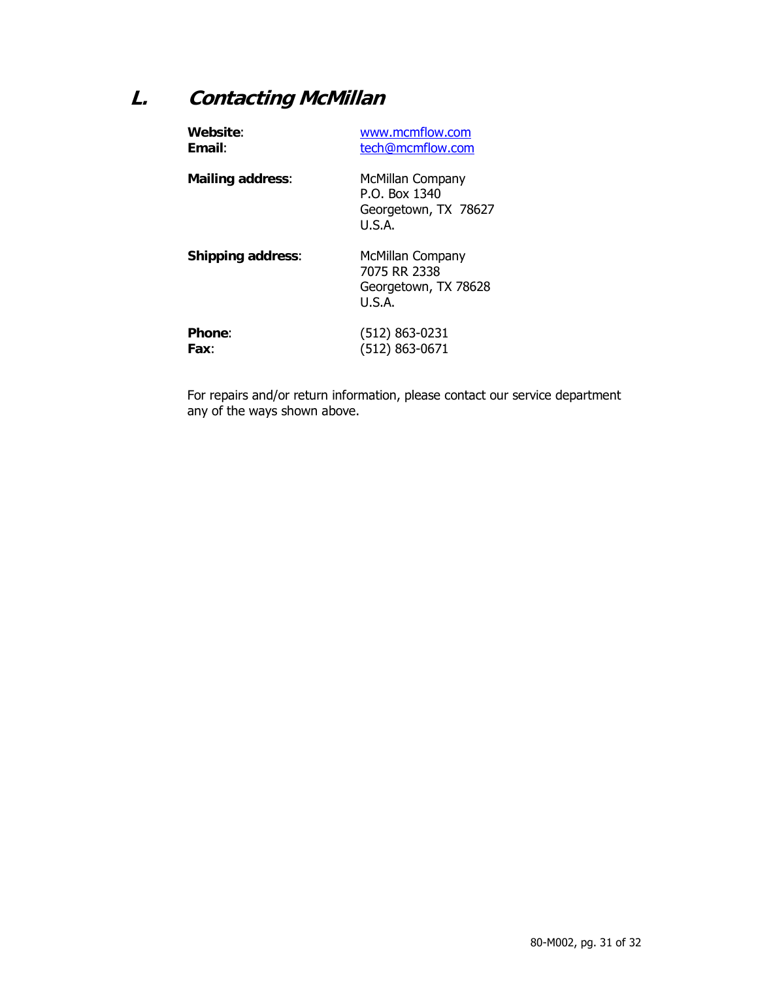### **L. Contacting McMillan**

| Website:                 | www.mcmflow.com                                                     |
|--------------------------|---------------------------------------------------------------------|
| <b>Fmail:</b>            | tech@mcmflow.com                                                    |
| <b>Mailing address:</b>  | McMillan Company<br>P.O. Box 1340<br>Georgetown, TX 78627<br>U.S.A. |
| <b>Shipping address:</b> | McMillan Company<br>7075 RR 2338<br>Georgetown, TX 78628<br>U.S.A.  |
| <b>Phone:</b>            | $(512) 863 - 0231$                                                  |
| Fax:                     | (512) 863-0671                                                      |

For repairs and/or return information, please contact our service department any of the ways shown above.